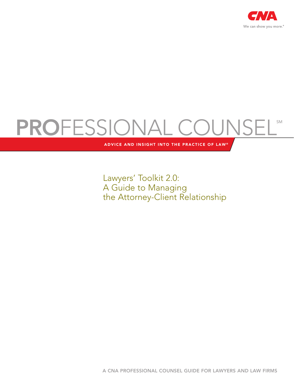

# PROFESSIONAL COUNSELS

ADVICE AND INSIGHT INTO THE PRACTICE OF LAW®

Lawyers' Toolkit 2.0: A Guide to Managing the Attorney-Client Relationship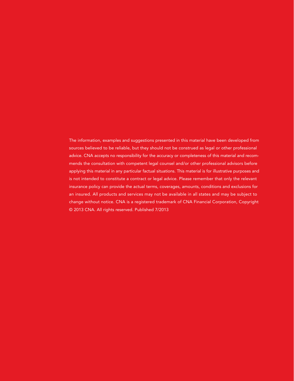The information, examples and suggestions presented in this material have been developed from sources believed to be reliable, but they should not be construed as legal or other professional advice. CNA accepts no responsibility for the accuracy or completeness of this material and recommends the consultation with competent legal counsel and/or other professional advisors before applying this material in any particular factual situations. This material is for illustrative purposes and is not intended to constitute a contract or legal advice. Please remember that only the relevant insurance policy can provide the actual terms, coverages, amounts, conditions and exclusions for an insured. All products and services may not be available in all states and may be subject to change without notice. CNA is a registered trademark of CNA Financial Corporation, Copyright © 2013 CNA. All rights reserved. Published 7/2013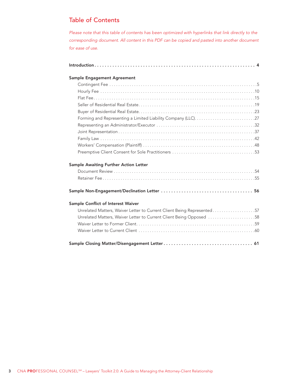# **Table of Contents**

Please note that this table of contents has been optimized with hyperlinks that link directly to the corresponding document. All content in this PDF can be copied and pasted into another document for ease of use.

|--|--|--|--|--|--|

#### Sample Engagement Agreement

#### Sample Awaiting Further Action Letter

#### 

#### Sample Conflict of Interest Waiver

| Unrelated Matters, Waiver Letter to Current Client Being Opposed 58 |  |
|---------------------------------------------------------------------|--|
|                                                                     |  |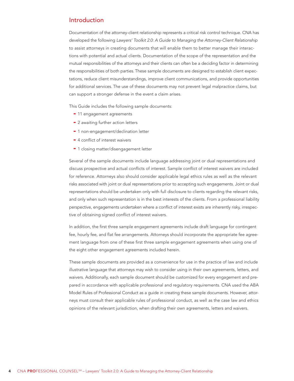#### <span id="page-3-0"></span>Introduction

Documentation of the attorney-client relationship represents a critical risk control technique. CNA has developed the following Lawyers' Toolkit 2.0: A Guide to Managing the Attorney-Client Relationship to assist attorneys in creating documents that will enable them to better manage their interactions with potential and actual clients. Documentation of the scope of the representation and the mutual responsibilities of the attorneys and their clients can often be a deciding factor in determining the responsibilities of both parties. These sample documents are designed to establish client expectations, reduce client misunderstandings, improve client communications, and provide opportunities for additional services. The use of these documents may not prevent legal malpractice claims, but can support a stronger defense in the event a claim arises.

This Guide includes the following sample documents:

- 11 engagement agreements
- 2 awaiting further action letters
- 1 non-engagement/declination letter
- 4 conflict of interest waivers
- 1 closing matter/disengagement letter

Several of the sample documents include language addressing joint or dual representations and discuss prospective and actual conflicts of interest. Sample conflict of interest waivers are included for reference. Attorneys also should consider applicable legal ethics rules as well as the relevant risks associated with joint or dual representations prior to accepting such engagements. Joint or dual representations should be undertaken only with full disclosure to clients regarding the relevant risks, and only when such representation is in the best interests of the clients. From a professional liability perspective, engagements undertaken where a conflict of interest exists are inherently risky, irrespective of obtaining signed conflict of interest waivers.

In addition, the first three sample engagement agreements include draft language for contingent fee, hourly fee, and flat fee arrangements. Attorneys should incorporate the appropriate fee agreement language from one of these first three sample engagement agreements when using one of the eight other engagement agreements included herein.

These sample documents are provided as a convenience for use in the practice of law and include illustrative language that attorneys may wish to consider using in their own agreements, letters, and waivers. Additionally, each sample document should be customized for every engagement and prepared in accordance with applicable professional and regulatory requirements. CNA used the ABA Model Rules of Professional Conduct as a guide in creating these sample documents. However, attorneys must consult their applicable rules of professional conduct, as well as the case law and ethics opinions of the relevant jurisdiction, when drafting their own agreements, letters and waivers.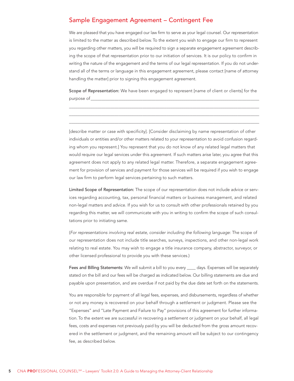## <span id="page-4-0"></span>Sample Engagement Agreement - Contingent Fee

We are pleased that you have engaged our law firm to serve as your legal counsel. Our representation is limited to the matter as described below. To the extent you wish to engage our firm to represent you regarding other matters, you will be required to sign a separate engagement agreement describing the scope of that representation prior to our initiation of services. It is our policy to confirm in writing the nature of the engagement and the terms of our legal representation. If you do not understand all of the terms or language in this engagement agreement, please contact [name of attorney handling the matter] prior to signing this engagement agreement.

Scope of Representation: We have been engaged to represent [name of client or clients] for the purpose of

[describe matter or case with specificity]. [Consider disclaiming by name representation of other individuals or entities and/or other matters related to your representation to avoid confusion regarding whom you represent.] You represent that you do not know of any related legal matters that would require our legal services under this agreement. If such matters arise later, you agree that this agreement does not apply to any related legal matter. Therefore, a separate engagement agreement for provision of services and payment for those services will be required if you wish to engage our law firm to perform legal services pertaining to such matters.

Limited Scope of Representation: The scope of our representation does not include advice or services regarding accounting, tax, personal financial matters or business management, and related non-legal matters and advice. If you wish for us to consult with other professionals retained by you regarding this matter, we will communicate with you in writing to confirm the scope of such consultations prior to initiating same.

(For representations involving real estate, consider including the following language: The scope of our representation does not include title searches, surveys, inspections, and other non-legal work relating to real estate. You may wish to engage a title insurance company, abstractor, surveyor, or other licensed professional to provide you with these services.)

Fees and Billing Statements: We will submit a bill to you every \_\_\_\_ days. Expenses will be separately stated on the bill and our fees will be charged as indicated below. Our billing statements are due and payable upon presentation, and are overdue if not paid by the due date set forth on the statements.

You are responsible for payment of all legal fees, expenses, and disbursements, regardless of whether or not any money is recovered on your behalf through a settlement or judgment. Please see the "Expenses" and "Late Payment and Failure to Pay" provisions of this agreement for further information. To the extent we are successful in recovering a settlement or judgment on your behalf, all legal fees, costs and expenses not previously paid by you will be deducted from the gross amount recovered in the settlement or judgment, and the remaining amount will be subject to our contingency fee, as described below.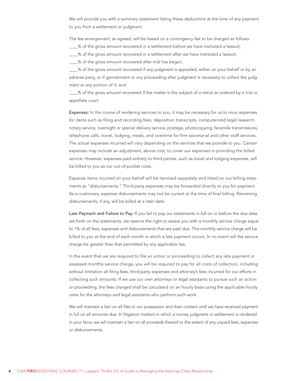We will provide you with a summary statement listing these deductions at the time of any payment to you from a settlement or judgment.

The fee arrangement, as agreed, will be based on a contingency fee to be charged as follows:

- $\_\%$  of the gross amount recovered in a settlement before we have instituted a lawsuit;
- $\frac{1}{8}$  of the gross amount recovered in a settlement after we have instituted a lawsuit;
- \_\_\_\_% of the gross amount recovered after trial has begun;

\_\_\_\_% of the gross amount recovered if any judgment is appealed, either on your behalf or by an adverse party, or if garnishment or any proceeding after judgment is necessary to collect the judgment or any portion of it; and

\_\_\_\_% of the gross amount recovered if the matter is the subject of a retrial as ordered by a trial or appellate court.

Expenses: In the course of rendering services to you, it may be necessary for us to incur expenses for items such as filing and recording fees, deposition transcripts, computerized legal research, notary service, overnight or special delivery service, postage, photocopying, facsimile transmissions, telephone calls, travel, lodging, meals, and overtime for firm secretarial and other staff services. The actual expenses incurred will vary depending on the services that we provide to you. Certain expenses may include an adjustment, above cost, to cover our expenses in providing the billed service. However, expenses paid entirely to third parties, such as travel and lodging expenses, will be billed to you as our out-of-pocket costs.

Expense items incurred on your behalf will be itemized separately and listed on our billing statements as "disbursements." Third-party expenses may be forwarded directly to you for payment. As is customary, expense disbursements may not be current at the time of final billing. Remaining disbursements, if any, will be billed at a later date.

Late Payment and Failure to Pay: If you fail to pay our statements in full on or before the due date set forth on the statements, we reserve the right to assess you with a monthly service charge equal to 1% of all fees, expenses and disbursements that are past due. This monthly service charge will be billed to you at the end of each month in which a late payment occurs. In no event will the service charge be greater than that permitted by any applicable law.

In the event that we are required to file an action or proceeding to collect any late payment or assessed monthly service charge, you will be required to pay for all costs of collection, including without limitation all filing fees, third-party expenses and attorney's fees incurred for our efforts in collecting such amounts. If we use our own attorneys or legal assistants to pursue such an action or proceeding, the fees charged shall be calculated on an hourly basis using the applicable hourly rates for the attorneys and legal assistants who perform such work.

We will maintain a lien on all files in our possession and their content until we have received payment in full on all amounts due. In litigation matters in which a money judgment or settlement is rendered in your favor, we will maintain a lien on all proceeds thereof to the extent of any unpaid fees, expenses or disbursements.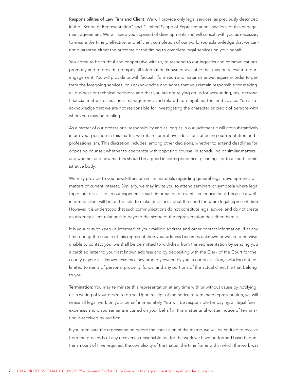Responsibilities of Law Firm and Client: We will provide only legal services, as previously described in the "Scope of Representation" and "Limited Scope of Representation" sections of this engagement agreement. We will keep you apprised of developments and will consult with you as necessary to ensure the timely, effective, and efficient completion of our work. You acknowledge that we cannot guarantee either the outcome or the timing to complete legal services on your behalf.

You agree to be truthful and cooperative with us, to respond to our inquiries and communications promptly and to provide promptly all information known or available that may be relevant to our engagement. You will provide us with factual information and materials as we require in order to perform the foregoing services. You acknowledge and agree that you remain responsible for making all business or technical decisions and that you are not relying on us for accounting, tax, personal financial matters or business management, and related non-legal matters and advice. You also acknowledge that we are not responsible for investigating the character or credit of persons with whom you may be dealing.

As a matter of our professional responsibility and as long as in our judgment it will not substantively injure your position in this matter, we retain control over decisions affecting our reputation and professionalism. This discretion includes, among other decisions, whether to extend deadlines for opposing counsel; whether to cooperate with opposing counsel in scheduling or similar matters; and whether and how matters should be argued in correspondence, pleadings, or to a court administrative body.

We may provide to you newsletters or similar materials regarding general legal developments or matters of current interest. Similarly, we may invite you to attend seminars or symposia where legal topics are discussed. In our experience, such information or events are educational, because a wellinformed client will be better able to make decisions about the need for future legal representation. However, it is understood that such communications do not constitute legal advice, and do not create an attorney-client relationship beyond the scope of the representation described herein.

It is your duty to keep us informed of your mailing address and other contact information. If at any time during the course of this representation your address becomes unknown or we are otherwise unable to contact you, we shall be permitted to withdraw from this representation by sending you a certified letter to your last known address and by depositing with the Clerk of the Court for the county of your last known residence any property owned by you in our possession, including but not limited to items of personal property, funds, and any portions of the actual client file that belong to you.

Termination: You may terminate this representation at any time with or without cause by notifying us in writing of your desire to do so. Upon receipt of the notice to terminate representation, we will cease all legal work on your behalf immediately. You will be responsible for paying all legal fees, expenses and disbursements incurred on your behalf in this matter until written notice of termination is received by our firm.

If you terminate the representation before the conclusion of the matter, we will be entitled to receive from the proceeds of any recovery a reasonable fee for the work we have performed based upon the amount of time required, the complexity of the matter, the time frame within which the work was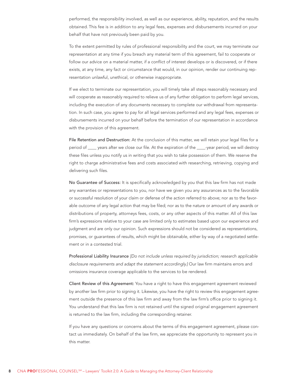performed, the responsibility involved, as well as our experience, ability, reputation, and the results obtained. This fee is in addition to any legal fees, expenses and disbursements incurred on your behalf that have not previously been paid by you.

To the extent permitted by rules of professional responsibility and the court, we may terminate our representation at any time if you breach any material term of this agreement, fail to cooperate or follow our advice on a material matter, if a conflict of interest develops or is discovered, or if there exists, at any time, any fact or circumstance that would, in our opinion, render our continuing representation unlawful, unethical, or otherwise inappropriate.

If we elect to terminate our representation, you will timely take all steps reasonably necessary and will cooperate as reasonably required to relieve us of any further obligation to perform legal services, including the execution of any documents necessary to complete our withdrawal from representation. In such case, you agree to pay for all legal services performed and any legal fees, expenses or disbursements incurred on your behalf before the termination of our representation in accordance with the provision of this agreement.

File Retention and Destruction: At the conclusion of this matter, we will retain your legal files for a period of \_\_\_\_ years after we close our file. At the expiration of the \_\_\_\_-year period, we will destroy these files unless you notify us in writing that you wish to take possession of them. We reserve the right to charge administrative fees and costs associated with researching, retrieving, copying and delivering such files.

No Guarantee of Success: It is specifically acknowledged by you that this law firm has not made any warranties or representations to you, nor have we given you any assurances as to the favorable or successful resolution of your claim or defense of the action referred to above; nor as to the favorable outcome of any legal action that may be filed; nor as to the nature or amount of any awards or distributions of property, attorneys fees, costs, or any other aspects of this matter. All of this law firm's expressions relative to your case are limited only to estimates based upon our experience and judgment and are only our opinion. Such expressions should not be considered as representations, promises, or guarantees of results, which might be obtainable, either by way of a negotiated settlement or in a contested trial.

Professional Liability Insurance [Do not include unless required by jurisdiction; research applicable disclosure requirements and adapt the statement accordingly.] Our law firm maintains errors and omissions insurance coverage applicable to the services to be rendered.

Client Review of this Agreement: You have a right to have this engagement agreement reviewed by another law firm prior to signing it. Likewise, you have the right to review this engagement agreement outside the presence of this law firm and away from the law firm's office prior to signing it. You understand that this law firm is not retained until the signed original engagement agreement is returned to the law firm, including the corresponding retainer.

If you have any questions or concerns about the terms of this engagement agreement, please contact us immediately. On behalf of the law firm, we appreciate the opportunity to represent you in this matter.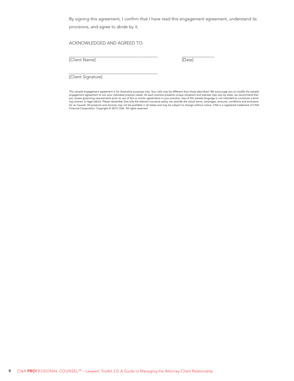By signing this agreement, I confirm that I have read this engagement agreement, understand its provisions, and agree to abide by it.

ACKNOWLEDGED AND AGREED TO:

[Client Name] [Date]

 $\overline{a}$ 

 $\overline{\phantom{a}}$ 

[Client Signature]

This sample engagement agreement is for illustrative purposes only. Your risks may be different than those described. We encourage you to modify the sample engagement agreement to suit your individual practice needs. As each practice presents unique situations and statutes may vary by state, we recommend that<br>you review governing requirements prior to use of this or similar a for an insured. All products and services may not be available in all states and may be subject to change without notice. CNA is a registered trademark of CNA<br>Financial Corporation. Copyright © 2013 CNA. All rights reserve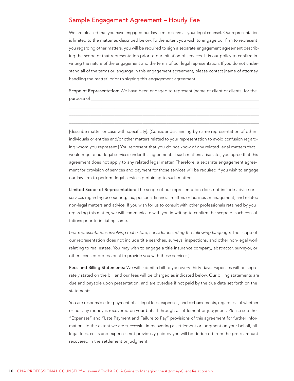## <span id="page-9-0"></span>Sample Engagement Agreement - Hourly Fee

We are pleased that you have engaged our law firm to serve as your legal counsel. Our representation is limited to the matter as described below. To the extent you wish to engage our firm to represent you regarding other matters, you will be required to sign a separate engagement agreement describing the scope of that representation prior to our initiation of services. It is our policy to confirm in writing the nature of the engagement and the terms of our legal representation. If you do not understand all of the terms or language in this engagement agreement, please contact [name of attorney handling the matter] prior to signing this engagement agreement.

Scope of Representation: We have been engaged to represent [name of client or clients] for the purpose of

[describe matter or case with specificity]. [Consider disclaiming by name representation of other individuals or entities and/or other matters related to your representation to avoid confusion regarding whom you represent.] You represent that you do not know of any related legal matters that would require our legal services under this agreement. If such matters arise later, you agree that this agreement does not apply to any related legal matter. Therefore, a separate engagement agreement for provision of services and payment for those services will be required if you wish to engage our law firm to perform legal services pertaining to such matters.

Limited Scope of Representation: The scope of our representation does not include advice or services regarding accounting, tax, personal financial matters or business management, and related non-legal matters and advice. If you wish for us to consult with other professionals retained by you regarding this matter, we will communicate with you in writing to confirm the scope of such consultations prior to initiating same.

(For representations involving real estate, consider including the following language: The scope of our representation does not include title searches, surveys, inspections, and other non-legal work relating to real estate. You may wish to engage a title insurance company, abstractor, surveyor, or other licensed professional to provide you with these services.)

Fees and Billing Statements: We will submit a bill to you every thirty days. Expenses will be separately stated on the bill and our fees will be charged as indicated below. Our billing statements are due and payable upon presentation, and are overdue if not paid by the due date set forth on the statements.

You are responsible for payment of all legal fees, expenses, and disbursements, regardless of whether or not any money is recovered on your behalf through a settlement or judgment. Please see the "Expenses" and "Late Payment and Failure to Pay" provisions of this agreement for further information. To the extent we are successful in recovering a settlement or judgment on your behalf, all legal fees, costs and expenses not previously paid by you will be deducted from the gross amount recovered in the settlement or judgment.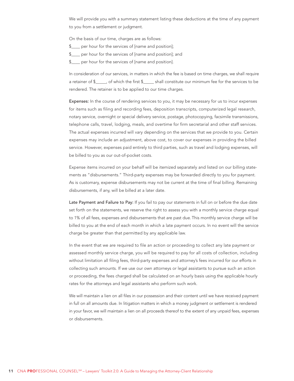We will provide you with a summary statement listing these deductions at the time of any payment to you from a settlement or judgment.

On the basis of our time, charges are as follows:

- \$\_\_\_\_ per hour for the services of [name and position];
- \$\_\_\_\_ per hour for the services of [name and position]; and
- \$\_\_\_\_ per hour for the services of [name and position].

In consideration of our services, in matters in which the fee is based on time charges, we shall require a retainer of \$\_\_\_\_\_, of which the first \$\_\_\_\_\_ shall constitute our minimum fee for the services to be rendered. The retainer is to be applied to our time charges.

Expenses: In the course of rendering services to you, it may be necessary for us to incur expenses for items such as filing and recording fees, deposition transcripts, computerized legal research, notary service, overnight or special delivery service, postage, photocopying, facsimile transmissions, telephone calls, travel, lodging, meals, and overtime for firm secretarial and other staff services. The actual expenses incurred will vary depending on the services that we provide to you. Certain expenses may include an adjustment, above cost, to cover our expenses in providing the billed service. However, expenses paid entirely to third parties, such as travel and lodging expenses, will be billed to you as our out-of-pocket costs.

Expense items incurred on your behalf will be itemized separately and listed on our billing statements as "disbursements." Third-party expenses may be forwarded directly to you for payment. As is customary, expense disbursements may not be current at the time of final billing. Remaining disbursements, if any, will be billed at a later date.

Late Payment and Failure to Pay: If you fail to pay our statements in full on or before the due date set forth on the statements, we reserve the right to assess you with a monthly service charge equal to 1% of all fees, expenses and disbursements that are past due. This monthly service charge will be billed to you at the end of each month in which a late payment occurs. In no event will the service charge be greater than that permitted by any applicable law.

In the event that we are required to file an action or proceeding to collect any late payment or assessed monthly service charge, you will be required to pay for all costs of collection, including without limitation all filing fees, third-party expenses and attorney's fees incurred for our efforts in collecting such amounts. If we use our own attorneys or legal assistants to pursue such an action or proceeding, the fees charged shall be calculated on an hourly basis using the applicable hourly rates for the attorneys and legal assistants who perform such work.

We will maintain a lien on all files in our possession and their content until we have received payment in full on all amounts due. In litigation matters in which a money judgment or settlement is rendered in your favor, we will maintain a lien on all proceeds thereof to the extent of any unpaid fees, expenses or disbursements.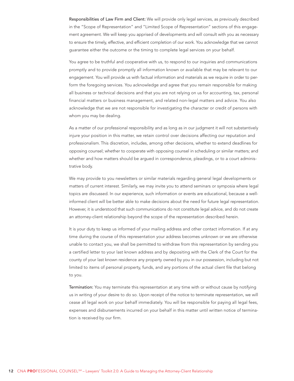Responsibilities of Law Firm and Client: We will provide only legal services, as previously described in the "Scope of Representation" and "Limited Scope of Representation" sections of this engagement agreement. We will keep you apprised of developments and will consult with you as necessary to ensure the timely, effective, and efficient completion of our work. You acknowledge that we cannot guarantee either the outcome or the timing to complete legal services on your behalf.

You agree to be truthful and cooperative with us, to respond to our inquiries and communications promptly and to provide promptly all information known or available that may be relevant to our engagement. You will provide us with factual information and materials as we require in order to perform the foregoing services. You acknowledge and agree that you remain responsible for making all business or technical decisions and that you are not relying on us for accounting, tax, personal financial matters or business management, and related non-legal matters and advice. You also acknowledge that we are not responsible for investigating the character or credit of persons with whom you may be dealing.

As a matter of our professional responsibility and as long as in our judgment it will not substantively injure your position in this matter, we retain control over decisions affecting our reputation and professionalism. This discretion, includes, among other decisions, whether to extend deadlines for opposing counsel; whether to cooperate with opposing counsel in scheduling or similar matters; and whether and how matters should be argued in correspondence, pleadings, or to a court administrative body.

We may provide to you newsletters or similar materials regarding general legal developments or matters of current interest. Similarly, we may invite you to attend seminars or symposia where legal topics are discussed. In our experience, such information or events are educational, because a wellinformed client will be better able to make decisions about the need for future legal representation. However, it is understood that such communications do not constitute legal advice, and do not create an attorney-client relationship beyond the scope of the representation described herein.

It is your duty to keep us informed of your mailing address and other contact information. If at any time during the course of this representation your address becomes unknown or we are otherwise unable to contact you, we shall be permitted to withdraw from this representation by sending you a certified letter to your last known address and by depositing with the Clerk of the Court for the county of your last known residence any property owned by you in our possession, including but not limited to items of personal property, funds, and any portions of the actual client file that belong to you.

Termination: You may terminate this representation at any time with or without cause by notifying us in writing of your desire to do so. Upon receipt of the notice to terminate representation, we will cease all legal work on your behalf immediately. You will be responsible for paying all legal fees, expenses and disbursements incurred on your behalf in this matter until written notice of termination is received by our firm.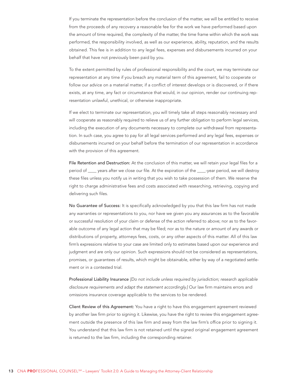If you terminate the representation before the conclusion of the matter, we will be entitled to receive from the proceeds of any recovery a reasonable fee for the work we have performed based upon the amount of time required, the complexity of the matter, the time frame within which the work was performed, the responsibility involved, as well as our experience, ability, reputation, and the results obtained. This fee is in addition to any legal fees, expenses and disbursements incurred on your behalf that have not previously been paid by you.

To the extent permitted by rules of professional responsibility and the court, we may terminate our representation at any time if you breach any material term of this agreement, fail to cooperate or follow our advice on a material matter, if a conflict of interest develops or is discovered, or if there exists, at any time, any fact or circumstance that would, in our opinion, render our continuing representation unlawful, unethical, or otherwise inappropriate.

If we elect to terminate our representation, you will timely take all steps reasonably necessary and will cooperate as reasonably required to relieve us of any further obligation to perform legal services, including the execution of any documents necessary to complete our withdrawal from representation. In such case, you agree to pay for all legal services performed and any legal fees, expenses or disbursements incurred on your behalf before the termination of our representation in accordance with the provision of this agreement.

File Retention and Destruction: At the conclusion of this matter, we will retain your legal files for a period of \_\_\_\_ years after we close our file. At the expiration of the \_\_\_\_-year period, we will destroy these files unless you notify us in writing that you wish to take possession of them. We reserve the right to charge administrative fees and costs associated with researching, retrieving, copying and delivering such files.

No Guarantee of Success: It is specifically acknowledged by you that this law firm has not made any warranties or representations to you, nor have we given you any assurances as to the favorable or successful resolution of your claim or defense of the action referred to above; nor as to the favorable outcome of any legal action that may be filed; nor as to the nature or amount of any awards or distributions of property, attorneys fees, costs, or any other aspects of this matter. All of this law firm's expressions relative to your case are limited only to estimates based upon our experience and judgment and are only our opinion. Such expressions should not be considered as representations, promises, or guarantees of results, which might be obtainable, either by way of a negotiated settlement or in a contested trial.

Professional Liability Insurance [Do not include unless required by jurisdiction; research applicable disclosure requirements and adapt the statement accordingly.] Our law firm maintains errors and omissions insurance coverage applicable to the services to be rendered.

Client Review of this Agreement: You have a right to have this engagement agreement reviewed by another law firm prior to signing it. Likewise, you have the right to review this engagement agreement outside the presence of this law firm and away from the law firm's office prior to signing it. You understand that this law firm is not retained until the signed original engagement agreement is returned to the law firm, including the corresponding retainer.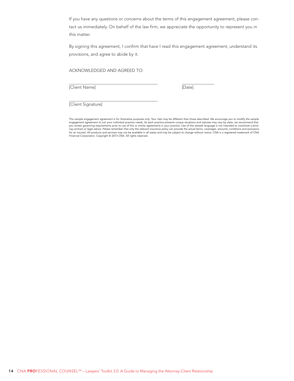If you have any questions or concerns about the terms of this engagement agreement, please contact us immediately. On behalf of the law firm, we appreciate the opportunity to represent you in this matter.

By signing this agreement, I confirm that have I read this engagement agreement, understand its provisions, and agree to abide by it.

ACKNOWLEDGED AND AGREED TO:

[Client Name] [Date]

 $\overline{a}$ 

 $\overline{\phantom{a}}$ 

[Client Signature]

This sample engagement agreement is for illustrative purposes only. Your risks may be different than those described. We encourage you to modify the sample engagement agreement to suit your individual practice needs. As each practice presents unique situations and statutes may vary by state, we recommend that<br>you review governing requirements prior to use of this or similar a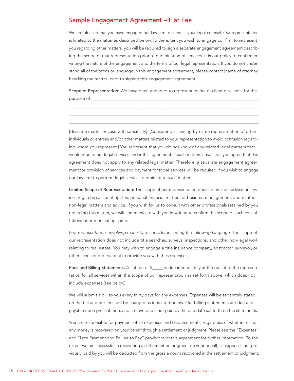### <span id="page-14-0"></span>Sample Engagement Agreement - Flat Fee

We are pleased that you have engaged our law firm to serve as your legal counsel. Our representation is limited to the matter as described below. To the extent you wish to engage our firm to represent you regarding other matters, you will be required to sign a separate engagement agreement describing the scope of that representation prior to our initiation of services. It is our policy to confirm in writing the nature of the engagement and the terms of our legal representation. If you do not understand all of the terms or language in this engagement agreement, please contact [name of attorney handling the matter] prior to signing this engagement agreement.

Scope of Representation: We have been engaged to represent [name of client or clients] for the purpose of

[describe matter or case with specificity]. [Consider disclaiming by name representation of other individuals or entities and/or other matters related to your representation to avoid confusion regarding whom you represent.] You represent that you do not know of any related legal matters that would require our legal services under this agreement. If such matters arise later, you agree that this agreement does not apply to any related legal matter. Therefore, a separate engagement agreement for provision of services and payment for those services will be required if you wish to engage our law firm to perform legal services pertaining to such matters.

Limited Scope of Representation: The scope of our representation does not include advice or services regarding accounting, tax, personal financial matters or business management, and related non-legal matters and advice. If you wish for us to consult with other professionals retained by you regarding this matter, we will communicate with you in writing to confirm the scope of such consultations prior to initiating same.

(For representations involving real estate, consider including the following language: The scope of our representation does not include title searches, surveys, inspections, and other non-legal work relating to real estate. You may wish to engage a title insurance company, abstractor, surveyor, or other licensed professional to provide you with these services.)

Fees and Billing Statements: A flat fee of \$\_\_\_\_\_ is due immediately at the outset of the representation for all services within the scope of our representation as set forth above, which does not include expenses (see below).

We will submit a bill to you every thirty days for any expenses. Expenses will be separately stated on the bill and our fees will be charged as indicated below. Our billing statements are due and payable upon presentation, and are overdue if not paid by the due date set forth on the statements.

You are responsible for payment of all expenses and disbursements, regardless of whether or not any money is recovered on your behalf through a settlement or judgment. Please see the "Expenses" and "Late Payment and Failure to Pay" provisions of this agreement for further information. To the extent we are successful in recovering a settlement or judgment on your behalf, all expenses not previously paid by you will be deducted from the gross amount recovered in the settlement or judgment.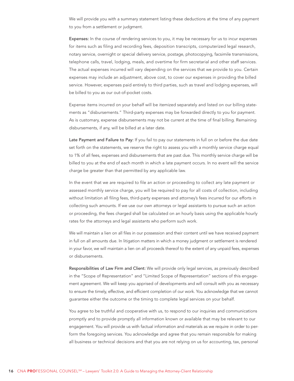We will provide you with a summary statement listing these deductions at the time of any payment to you from a settlement or judgment.

Expenses: In the course of rendering services to you, it may be necessary for us to incur expenses for items such as filing and recording fees, deposition transcripts, computerized legal research, notary service, overnight or special delivery service, postage, photocopying, facsimile transmissions, telephone calls, travel, lodging, meals, and overtime for firm secretarial and other staff services. The actual expenses incurred will vary depending on the services that we provide to you. Certain expenses may include an adjustment, above cost, to cover our expenses in providing the billed service. However, expenses paid entirely to third parties, such as travel and lodging expenses, will be billed to you as our out-of-pocket costs.

Expense items incurred on your behalf will be itemized separately and listed on our billing statements as "disbursements." Third-party expenses may be forwarded directly to you for payment. As is customary, expense disbursements may not be current at the time of final billing. Remaining disbursements, if any, will be billed at a later date.

Late Payment and Failure to Pay: If you fail to pay our statements in full on or before the due date set forth on the statements, we reserve the right to assess you with a monthly service charge equal to 1% of all fees, expenses and disbursements that are past due. This monthly service charge will be billed to you at the end of each month in which a late payment occurs. In no event will the service charge be greater than that permitted by any applicable law.

In the event that we are required to file an action or proceeding to collect any late payment or assessed monthly service charge, you will be required to pay for all costs of collection, including without limitation all filing fees, third-party expenses and attorney's fees incurred for our efforts in collecting such amounts. If we use our own attorneys or legal assistants to pursue such an action or proceeding, the fees charged shall be calculated on an hourly basis using the applicable hourly rates for the attorneys and legal assistants who perform such work.

We will maintain a lien on all files in our possession and their content until we have received payment in full on all amounts due. In litigation matters in which a money judgment or settlement is rendered in your favor, we will maintain a lien on all proceeds thereof to the extent of any unpaid fees, expenses or disbursements.

Responsibilities of Law Firm and Client: We will provide only legal services, as previously described in the "Scope of Representation" and "Limited Scope of Representation" sections of this engagement agreement. We will keep you apprised of developments and will consult with you as necessary to ensure the timely, effective, and efficient completion of our work. You acknowledge that we cannot guarantee either the outcome or the timing to complete legal services on your behalf.

You agree to be truthful and cooperative with us, to respond to our inquiries and communications promptly and to provide promptly all information known or available that may be relevant to our engagement. You will provide us with factual information and materials as we require in order to perform the foregoing services. You acknowledge and agree that you remain responsible for making all business or technical decisions and that you are not relying on us for accounting, tax, personal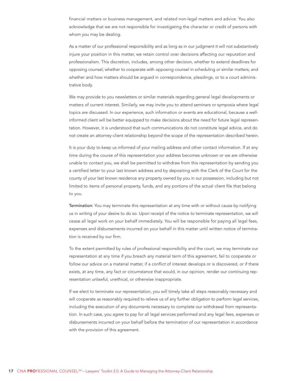financial matters or business management, and related non-legal matters and advice. You also acknowledge that we are not responsible for investigating the character or credit of persons with whom you may be dealing.

As a matter of our professional responsibility and as long as in our judgment it will not substantively injure your position in this matter, we retain control over decisions affecting our reputation and professionalism. This discretion, includes, among other decision, whether to extend deadlines for opposing counsel; whether to cooperate with opposing counsel in scheduling or similar matters; and whether and how matters should be argued in correspondence, pleadings, or to a court administrative body.

We may provide to you newsletters or similar materials regarding general legal developments or matters of current interest. Similarly, we may invite you to attend seminars or symposia where legal topics are discussed. In our experience, such information or events are educational, because a wellinformed client will be better equipped to make decisions about the need for future legal representation. However, it is understood that such communications do not constitute legal advice, and do not create an attorney-client relationship beyond the scope of the representation described herein.

It is your duty to keep us informed of your mailing address and other contact information. If at any time during the course of this representation your address becomes unknown or we are otherwise unable to contact you, we shall be permitted to withdraw from this representation by sending you a certified letter to your last known address and by depositing with the Clerk of the Court for the county of your last known residence any property owned by you in our possession, including but not limited to items of personal property, funds, and any portions of the actual client file that belong to you.

Termination: You may terminate this representation at any time with or without cause by notifying us in writing of your desire to do so. Upon receipt of the notice to terminate representation, we will cease all legal work on your behalf immediately. You will be responsible for paying all legal fees, expenses and disbursements incurred on your behalf in this matter until written notice of termination is received by our firm.

To the extent permitted by rules of professional responsibility and the court, we may terminate our representation at any time if you breach any material term of this agreement, fail to cooperate or follow our advice on a material matter, if a conflict of interest develops or is discovered, or if there exists, at any time, any fact or circumstance that would, in our opinion, render our continuing representation unlawful, unethical, or otherwise inappropriate.

If we elect to terminate our representation, you will timely take all steps reasonably necessary and will cooperate as reasonably required to relieve us of any further obligation to perform legal services, including the execution of any documents necessary to complete our withdrawal from representation. In such case, you agree to pay for all legal services performed and any legal fees, expenses or disbursements incurred on your behalf before the termination of our representation in accordance with the provision of this agreement.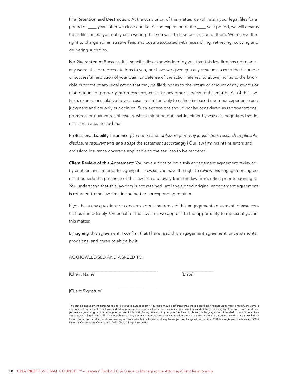File Retention and Destruction: At the conclusion of this matter, we will retain your legal files for a period of \_\_\_\_ years after we close our file. At the expiration of the \_\_\_\_-year period, we will destroy these files unless you notify us in writing that you wish to take possession of them. We reserve the right to charge administrative fees and costs associated with researching, retrieving, copying and delivering such files.

No Guarantee of Success: It is specifically acknowledged by you that this law firm has not made any warranties or representations to you, nor have we given you any assurances as to the favorable or successful resolution of your claim or defense of the action referred to above; nor as to the favorable outcome of any legal action that may be filed; nor as to the nature or amount of any awards or distributions of property, attorneys fees, costs, or any other aspects of this matter. All of this law firm's expressions relative to your case are limited only to estimates based upon our experience and judgment and are only our opinion. Such expressions should not be considered as representations, promises, or guarantees of results, which might be obtainable, either by way of a negotiated settlement or in a contested trial.

Professional Liability Insurance [Do not include unless required by jurisdiction; research applicable disclosure requirements and adapt the statement accordingly.] Our law firm maintains errors and omissions insurance coverage applicable to the services to be rendered.

Client Review of this Agreement: You have a right to have this engagement agreement reviewed by another law firm prior to signing it. Likewise, you have the right to review this engagement agreement outside the presence of this law firm and away from the law firm's office prior to signing it. You understand that this law firm is not retained until the signed original engagement agreement is returned to the law firm, including the corresponding retainer.

If you have any questions or concerns about the terms of this engagement agreement, please contact us immediately. On behalf of the law firm, we appreciate the opportunity to represent you in this matter.

By signing this agreement, I confirm that I have read this engagement agreement, understand its provisions, and agree to abide by it.

ACKNOWLEDGED AND AGREED TO:

[Client Name] [Date]

 $\overline{a}$ 

 $\overline{\phantom{a}}$ 

[Client Signature]

This sample engagement agreement is for illustrative purposes only. Your risks may be different than those described. We encourage you to modify the sample<br>engagement agreement to suit your individual practice needs. As ea you review governing requirements prior to use of this or similar agreements in your practice. Use of this sample language is not intended to constitute a binding contract or legal advice. Please remember that only the relevant insurance policy can provide the actual terms, coverages, amounts, conditions and exclusions<br>for an insured. All products and services may not be availab Financial Corporation. Copyright © 2013 CNA. All rights reserved.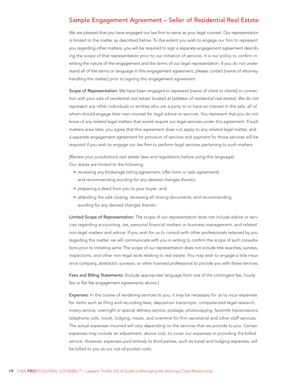## <span id="page-18-0"></span>Sample Engagement Agreement – Seller of Residential Real Estate

We are pleased that you have engaged our law firm to serve as your legal counsel. Our representation is limited to the matter as described below. To the extent you wish to engage our firm to represent you regarding other matters, you will be required to sign a separate engagement agreement describing the scope of that representation prior to our initiation of services. It is our policy to confirm in writing the nature of the engagement and the terms of our legal representation. If you do not understand all of the terms or language in this engagement agreement, please contact [name of attorney handling the matter] prior to signing this engagement agreement.

Scope of Representation: We have been engaged to represent [name of client or clients] in connection with your sale of residential real estate located at [address of residential real estate]. We do not represent any other individuals or entities who are a party to or have an interest in the sale, all of whom should engage their own counsel for legal advice or services. You represent that you do not know of any related legal matters that would require our legal services under this agreement. If such matters arise later, you agree that this agreement does not apply to any related legal matter, and a separate engagement agreement for provision of services and payment for those services will be required if you wish to engage our law firm to perform legal services pertaining to such matters.

[Review your jurisdiction's real estate laws and regulations before using this language]: Our duties are limited to the following:

- reviewing any brokerage listing agreement, offer form or sale agreements and recommending wording for any desired changes thereto;
- preparing a deed from you to your buyer; and,
- attending the sale closing, reviewing all closing documents, and recommending wording for any desired changes thereto.

Limited Scope of Representation: The scope of our representation does not include advice or services regarding accounting, tax, personal financial matters or business management, and related non-legal matters and advice. If you wish for us to consult with other professionals retained by you regarding this matter, we will communicate with you in writing to confirm the scope of such consultations prior to initiating same. The scope of our representation does not include title searches, surveys, inspections, and other non-legal work relating to real estate. You may wish to engage a title insurance company, abstractor, surveyor, or other licensed professional to provide you with these services.

Fees and Billing Statements: [Include appropriate language from one of the contingent fee, hourly fee or flat fee engagement agreements above.]

Expenses: In the course of rendering services to you, it may be necessary for us to incur expenses for items such as filing and recording fees, deposition transcripts, computerized legal research, notary service, overnight or special delivery service, postage, photocopying, facsimile transmissions, telephone calls, travel, lodging, meals, and overtime for firm secretarial and other staff services. The actual expenses incurred will vary depending on the services that we provide to you. Certain expenses may include an adjustment, above cost, to cover our expenses in providing the billed service. However, expenses paid entirely to third parties, such as travel and lodging expenses, will be billed to you as our out-of-pocket costs.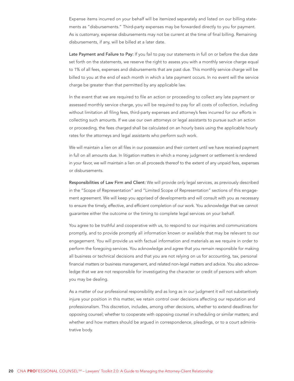Expense items incurred on your behalf will be itemized separately and listed on our billing statements as "disbursements." Third-party expenses may be forwarded directly to you for payment. As is customary, expense disbursements may not be current at the time of final billing. Remaining disbursements, if any, will be billed at a later date.

Late Payment and Failure to Pay: If you fail to pay our statements in full on or before the due date set forth on the statements, we reserve the right to assess you with a monthly service charge equal to 1% of all fees, expenses and disbursements that are past due. This monthly service charge will be billed to you at the end of each month in which a late payment occurs. In no event will the service charge be greater than that permitted by any applicable law.

In the event that we are required to file an action or proceeding to collect any late payment or assessed monthly service charge, you will be required to pay for all costs of collection, including without limitation all filing fees, third-party expenses and attorney's fees incurred for our efforts in collecting such amounts. If we use our own attorneys or legal assistants to pursue such an action or proceeding, the fees charged shall be calculated on an hourly basis using the applicable hourly rates for the attorneys and legal assistants who perform such work.

We will maintain a lien on all files in our possession and their content until we have received payment in full on all amounts due. In litigation matters in which a money judgment or settlement is rendered in your favor, we will maintain a lien on all proceeds thereof to the extent of any unpaid fees, expenses or disbursements.

Responsibilities of Law Firm and Client: We will provide only legal services, as previously described in the "Scope of Representation" and "Limited Scope of Representation" sections of this engagement agreement. We will keep you apprised of developments and will consult with you as necessary to ensure the timely, effective, and efficient completion of our work. You acknowledge that we cannot guarantee either the outcome or the timing to complete legal services on your behalf.

You agree to be truthful and cooperative with us, to respond to our inquiries and communications promptly, and to provide promptly all information known or available that may be relevant to our engagement. You will provide us with factual information and materials as we require in order to perform the foregoing services. You acknowledge and agree that you remain responsible for making all business or technical decisions and that you are not relying on us for accounting, tax, personal financial matters or business management, and related non-legal matters and advice. You also acknowledge that we are not responsible for investigating the character or credit of persons with whom you may be dealing.

As a matter of our professional responsibility and as long as in our judgment it will not substantively injure your position in this matter, we retain control over decisions affecting our reputation and professionalism. This discretion, includes, among other decisions, whether to extend deadlines for opposing counsel; whether to cooperate with opposing counsel in scheduling or similar matters; and whether and how matters should be argued in correspondence, pleadings, or to a court administrative body.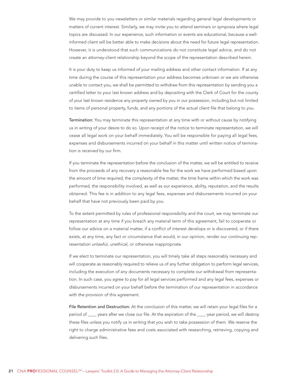We may provide to you newsletters or similar materials regarding general legal developments or matters of current interest. Similarly, we may invite you to attend seminars or symposia where legal topics are discussed. In our experience, such information or events are educational, because a wellinformed client will be better able to make decisions about the need for future legal representation. However, it is understood that such communications do not constitute legal advice, and do not create an attorney-client relationship beyond the scope of the representation described herein.

It is your duty to keep us informed of your mailing address and other contact information. If at any time during the course of this representation your address becomes unknown or we are otherwise unable to contact you, we shall be permitted to withdraw from this representation by sending you a certified letter to your last known address and by depositing with the Clerk of Court for the county of your last known residence any property owned by you in our possession, including but not limited to items of personal property, funds, and any portions of the actual client file that belong to you.

Termination: You may terminate this representation at any time with or without cause by notifying us in writing of your desire to do so. Upon receipt of the notice to terminate representation, we will cease all legal work on your behalf immediately. You will be responsible for paying all legal fees, expenses and disbursements incurred on your behalf in this matter until written notice of termination is received by our firm.

If you terminate the representation before the conclusion of the matter, we will be entitled to receive from the proceeds of any recovery a reasonable fee for the work we have performed based upon the amount of time required, the complexity of the matter, the time frame within which the work was performed, the responsibility involved, as well as our experience, ability, reputation, and the results obtained. This fee is in addition to any legal fees, expenses and disbursements incurred on your behalf that have not previously been paid by you.

To the extent permitted by rules of professional responsibility and the court, we may terminate our representation at any time if you breach any material term of this agreement, fail to cooperate or follow our advice on a material matter, if a conflict of interest develops or is discovered, or if there exists, at any time, any fact or circumstance that would, in our opinion, render our continuing representation unlawful, unethical, or otherwise inappropriate.

If we elect to terminate our representation, you will timely take all steps reasonably necessary and will cooperate as reasonably required to relieve us of any further obligation to perform legal services, including the execution of any documents necessary to complete our withdrawal from representation. In such case, you agree to pay for all legal services performed and any legal fees, expenses or disbursements incurred on your behalf before the termination of our representation in accordance with the provision of this agreement.

File Retention and Destruction: At the conclusion of this matter, we will retain your legal files for a period of \_\_\_\_ years after we close our file. At the expiration of the \_\_\_\_-year period, we will destroy these files unless you notify us in writing that you wish to take possession of them. We reserve the right to charge administrative fees and costs associated with researching, retrieving, copying and delivering such files.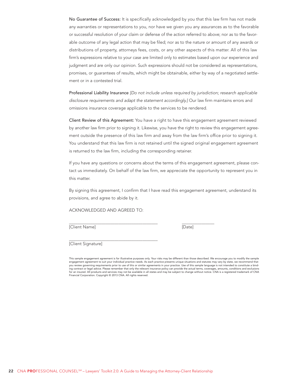No Guarantee of Success: It is specifically acknowledged by you that this law firm has not made any warranties or representations to you, nor have we given you any assurances as to the favorable or successful resolution of your claim or defense of the action referred to above; nor as to the favorable outcome of any legal action that may be filed; nor as to the nature or amount of any awards or distributions of property, attorneys fees, costs, or any other aspects of this matter. All of this law firm's expressions relative to your case are limited only to estimates based upon our experience and judgment and are only our opinion. Such expressions should not be considered as representations, promises, or guarantees of results, which might be obtainable, either by way of a negotiated settlement or in a contested trial.

Professional Liability Insurance [Do not include unless required by jurisdiction; research applicable disclosure requirements and adapt the statement accordingly.] Our law firm maintains errors and omissions insurance coverage applicable to the services to be rendered.

Client Review of this Agreement: You have a right to have this engagement agreement reviewed by another law firm prior to signing it. Likewise, you have the right to review this engagement agreement outside the presence of this law firm and away from the law firm's office prior to signing it. You understand that this law firm is not retained until the signed original engagement agreement is returned to the law firm, including the corresponding retainer.

If you have any questions or concerns about the terms of this engagement agreement, please contact us immediately. On behalf of the law firm, we appreciate the opportunity to represent you in this matter.

By signing this agreement, I confirm that I have read this engagement agreement, understand its provisions, and agree to abide by it.

ACKNOWLEDGED AND AGREED TO:

[Client Name] [Date]

 $\overline{a}$ 

 $\overline{\phantom{a}}$ 

[Client Signature]

This sample engagement agreement is for illustrative purposes only. Your risks may be different than those described. We encourage you to modify the sample engagement agreement to suit your individual practice needs. As each practice presents unique situations and statutes may vary by state, we recommend that you review governing requirements prior to use of this or similar agreements in your practice. Use of this sample language is not intended to constitute a binding contract or legal advice. Please remember that only the relevant insurance policy can provide the actual terms, coverages, amounts, conditions and exclusions for an insured. All products and services may not be available in all states and may be subject to change without notice. CNA is a registered trademark of CNA Financial Corporation. Copyright © 2013 CNA. All rights reserved.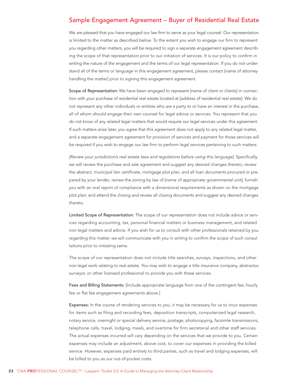## <span id="page-22-0"></span>Sample Engagement Agreement – Buyer of Residential Real Estate

We are pleased that you have engaged our law firm to serve as your legal counsel. Our representation is limited to the matter as described below. To the extent you wish to engage our firm to represent you regarding other matters, you will be required to sign a separate engagement agreement describing the scope of that representation prior to our initiation of services. It is our policy to confirm in writing the nature of the engagement and the terms of our legal representation. If you do not understand all of the terms or language in this engagement agreement, please contact [name of attorney handling the matter] prior to signing this engagement agreement.

Scope of Representation: We have been engaged to represent [name of client or clients] in connection with your purchase of residential real estate located at [address of residential real estate]. We do not represent any other individuals or entities who are a party to or have an interest in the purchase, all of whom should engage their own counsel for legal advice or services. You represent that you do not know of any related legal matters that would require our legal services under this agreement. If such matters arise later, you agree that this agreement does not apply to any related legal matter, and a separate engagement agreement for provision of services and payment for those services will be required if you wish to engage our law firm to perform legal services pertaining to such matters.

[Review your jurisdiction's real estate laws and regulations before using this language]: Specifically, we will review the purchase and sale agreement and suggest any desired changes thereto; review the abstract, municipal lien certificate, mortgage plot plan, and all loan documents procured or prepared by your lender; review the zoning by law of [name of appropriate governmental unit]; furnish you with an oral report of compliance with a dimensional requirements as shown on the mortgage plot plan; and attend the closing and review all closing documents and suggest any desired changes thereto.

Limited Scope of Representation: The scope of our representation does not include advice or services regarding accounting, tax, personal financial matters or business management, and related non-legal matters and advice. If you wish for us to consult with other professionals retained by you regarding this matter, we will communicate with you in writing to confirm the scope of such consultations prior to initiating same.

The scope of our representation does not include title searches, surveys, inspections, and other non-legal work relating to real estate. You may wish to engage a title insurance company, abstractor, surveyor, or other licensed professional to provide you with these services.

Fees and Billing Statements: [Include appropriate language from one of the contingent fee, hourly fee or flat fee engagement agreements above.]

Expenses: In the course of rendering services to you, it may be necessary for us to incur expenses for items such as filing and recording fees, deposition transcripts, computerized legal research, notary service, overnight or special delivery service, postage, photocopying, facsimile transmissions, telephone calls, travel, lodging, meals, and overtime for firm secretarial and other staff services. The actual expenses incurred will vary depending on the services that we provide to you. Certain expenses may include an adjustment, above cost, to cover our expenses in providing the billed service. However, expenses paid entirely to third parties, such as travel and lodging expenses, will be billed to you as our out-of-pocket costs.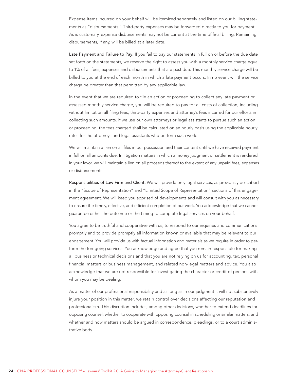Expense items incurred on your behalf will be itemized separately and listed on our billing statements as "disbursements." Third-party expenses may be forwarded directly to you for payment. As is customary, expense disbursements may not be current at the time of final billing. Remaining disbursements, if any, will be billed at a later date.

Late Payment and Failure to Pay: If you fail to pay our statements in full on or before the due date set forth on the statements, we reserve the right to assess you with a monthly service charge equal to 1% of all fees, expenses and disbursements that are past due. This monthly service charge will be billed to you at the end of each month in which a late payment occurs. In no event will the service charge be greater than that permitted by any applicable law.

In the event that we are required to file an action or proceeding to collect any late payment or assessed monthly service charge, you will be required to pay for all costs of collection, including without limitation all filing fees, third-party expenses and attorney's fees incurred for our efforts in collecting such amounts. If we use our own attorneys or legal assistants to pursue such an action or proceeding, the fees charged shall be calculated on an hourly basis using the applicable hourly rates for the attorneys and legal assistants who perform such work.

We will maintain a lien on all files in our possession and their content until we have received payment in full on all amounts due. In litigation matters in which a money judgment or settlement is rendered in your favor, we will maintain a lien on all proceeds thereof to the extent of any unpaid fees, expenses or disbursements.

Responsibilities of Law Firm and Client: We will provide only legal services, as previously described in the "Scope of Representation" and "Limited Scope of Representation" sections of this engagement agreement. We will keep you apprised of developments and will consult with you as necessary to ensure the timely, effective, and efficient completion of our work. You acknowledge that we cannot guarantee either the outcome or the timing to complete legal services on your behalf.

You agree to be truthful and cooperative with us, to respond to our inquiries and communications promptly and to provide promptly all information known or available that may be relevant to our engagement. You will provide us with factual information and materials as we require in order to perform the foregoing services. You acknowledge and agree that you remain responsible for making all business or technical decisions and that you are not relying on us for accounting, tax, personal financial matters or business management, and related non-legal matters and advice. You also acknowledge that we are not responsible for investigating the character or credit of persons with whom you may be dealing.

As a matter of our professional responsibility and as long as in our judgment it will not substantively injure your position in this matter, we retain control over decisions affecting our reputation and professionalism. This discretion includes, among other decisions, whether to extend deadlines for opposing counsel; whether to cooperate with opposing counsel in scheduling or similar matters; and whether and how matters should be argued in correspondence, pleadings, or to a court administrative body.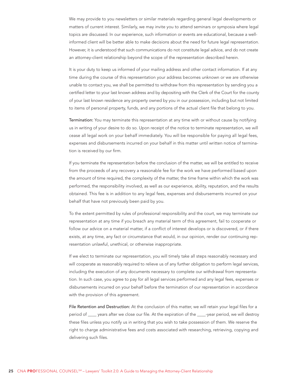We may provide to you newsletters or similar materials regarding general legal developments or matters of current interest. Similarly, we may invite you to attend seminars or symposia where legal topics are discussed. In our experience, such information or events are educational, because a wellinformed client will be better able to make decisions about the need for future legal representation. However, it is understood that such communications do not constitute legal advice, and do not create an attorney-client relationship beyond the scope of the representation described herein.

It is your duty to keep us informed of your mailing address and other contact information. If at any time during the course of this representation your address becomes unknown or we are otherwise unable to contact you, we shall be permitted to withdraw from this representation by sending you a certified letter to your last known address and by depositing with the Clerk of the Court for the county of your last known residence any property owned by you in our possession, including but not limited to items of personal property, funds, and any portions of the actual client file that belong to you.

Termination: You may terminate this representation at any time with or without cause by notifying us in writing of your desire to do so. Upon receipt of the notice to terminate representation, we will cease all legal work on your behalf immediately. You will be responsible for paying all legal fees, expenses and disbursements incurred on your behalf in this matter until written notice of termination is received by our firm.

If you terminate the representation before the conclusion of the matter, we will be entitled to receive from the proceeds of any recovery a reasonable fee for the work we have performed based upon the amount of time required, the complexity of the matter, the time frame within which the work was performed, the responsibility involved, as well as our experience, ability, reputation, and the results obtained. This fee is in addition to any legal fees, expenses and disbursements incurred on your behalf that have not previously been paid by you.

To the extent permitted by rules of professional responsibility and the court, we may terminate our representation at any time if you breach any material term of this agreement, fail to cooperate or follow our advice on a material matter, if a conflict of interest develops or is discovered, or if there exists, at any time, any fact or circumstance that would, in our opinion, render our continuing representation unlawful, unethical, or otherwise inappropriate.

If we elect to terminate our representation, you will timely take all steps reasonably necessary and will cooperate as reasonably required to relieve us of any further obligation to perform legal services, including the execution of any documents necessary to complete our withdrawal from representation. In such case, you agree to pay for all legal services performed and any legal fees, expenses or disbursements incurred on your behalf before the termination of our representation in accordance with the provision of this agreement.

File Retention and Destruction: At the conclusion of this matter, we will retain your legal files for a period of \_\_\_\_ years after we close our file. At the expiration of the \_\_\_\_-year period, we will destroy these files unless you notify us in writing that you wish to take possession of them. We reserve the right to charge administrative fees and costs associated with researching, retrieving, copying and delivering such files.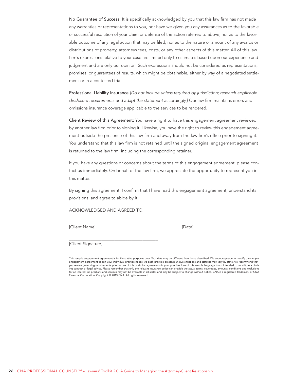No Guarantee of Success: It is specifically acknowledged by you that this law firm has not made any warranties or representations to you, nor have we given you any assurances as to the favorable or successful resolution of your claim or defense of the action referred to above; nor as to the favorable outcome of any legal action that may be filed; nor as to the nature or amount of any awards or distributions of property, attorneys fees, costs, or any other aspects of this matter. All of this law firm's expressions relative to your case are limited only to estimates based upon our experience and judgment and are only our opinion. Such expressions should not be considered as representations, promises, or guarantees of results, which might be obtainable, either by way of a negotiated settlement or in a contested trial.

Professional Liability Insurance [Do not include unless required by jurisdiction; research applicable disclosure requirements and adapt the statement accordingly.] Our law firm maintains errors and omissions insurance coverage applicable to the services to be rendered.

Client Review of this Agreement: You have a right to have this engagement agreement reviewed by another law firm prior to signing it. Likewise, you have the right to review this engagement agreement outside the presence of this law firm and away from the law firm's office prior to signing it. You understand that this law firm is not retained until the signed original engagement agreement is returned to the law firm, including the corresponding retainer.

If you have any questions or concerns about the terms of this engagement agreement, please contact us immediately. On behalf of the law firm, we appreciate the opportunity to represent you in this matter.

By signing this agreement, I confirm that I have read this engagement agreement, understand its provisions, and agree to abide by it.

ACKNOWLEDGED AND AGREED TO:

[Client Name] [Date]

 $\overline{a}$ 

 $\overline{\phantom{a}}$ 

[Client Signature]

This sample engagement agreement is for illustrative purposes only. Your risks may be different than those described. We encourage you to modify the sample engagement agreement to suit your individual practice needs. As each practice presents unique situations and statutes may vary by state, we recommend that you review governing requirements prior to use of this or similar agreements in your practice. Use of this sample language is not intended to constitute a binding contract or legal advice. Please remember that only the relevant insurance policy can provide the actual terms, coverages, amounts, conditions and exclusions for an insured. All products and services may not be available in all states and may be subject to change without notice. CNA is a registered trademark of CNA Financial Corporation. Copyright © 2013 CNA. All rights reserved.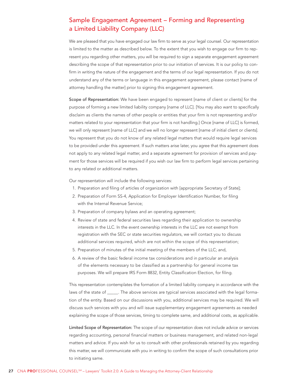# <span id="page-26-0"></span>Sample Engagement Agreement – Forming and Representing a Limited Liability Company (LLC)

We are pleased that you have engaged our law firm to serve as your legal counsel. Our representation is limited to the matter as described below. To the extent that you wish to engage our firm to represent you regarding other matters, you will be required to sign a separate engagement agreement describing the scope of that representation prior to our initiation of services. It is our policy to confirm in writing the nature of the engagement and the terms of our legal representation. If you do not understand any of the terms or language in this engagement agreement, please contact [name of attorney handling the matter] prior to signing this engagement agreement.

Scope of Representation: We have been engaged to represent [name of client or clients] for the purpose of forming a new limited liability company [name of LLC]. [You may also want to specifically disclaim as clients the names of other people or entities that your firm is not representing and/or matters related to your representation that your firm is not handling.] Once [name of LLC] is formed, we will only represent [name of LLC] and we will no longer represent [name of initial client or clients]. You represent that you do not know of any related legal matters that would require legal services to be provided under this agreement. If such matters arise later, you agree that this agreement does not apply to any related legal matter, and a separate agreement for provision of services and payment for those services will be required if you wish our law firm to perform legal services pertaining to any related or additional matters.

Our representation will include the following services:

- 1. Preparation and filing of articles of organization with [appropriate Secretary of State];
- 2. Preparation of Form SS-4, Application for Employer Identification Number, for filing with the Internal Revenue Service;
- 3. Preparation of company bylaws and an operating agreement;
- 4. Review of state and federal securities laws regarding their application to ownership interests in the LLC. In the event ownership interests in the LLC are not exempt from registration with the SEC or state securities regulators, we will contact you to discuss additional services required, which are not within the scope of this representation;
- 5. Preparation of minutes of the initial meeting of the members of the LLC; and,
- 6. A review of the basic federal income tax considerations and in particular an analysis of the elements necessary to be classified as a partnership for general income tax purposes. We will prepare IRS Form 8832, Entity Classification Election, for filing.

This representation contemplates the formation of a limited liability company in accordance with the laws of the state of \_\_\_\_\_. The above services are typical services associated with the legal formation of the entity. Based on our discussions with you, additional services may be required. We will discuss such services with you and will issue supplementary engagement agreements as needed explaining the scope of those services, timing to complete same, and additional costs, as applicable.

Limited Scope of Representation: The scope of our representation does not include advice or services regarding accounting, personal financial matters or business management, and related non-legal matters and advice. If you wish for us to consult with other professionals retained by you regarding this matter, we will communicate with you in writing to confirm the scope of such consultations prior to initiating same.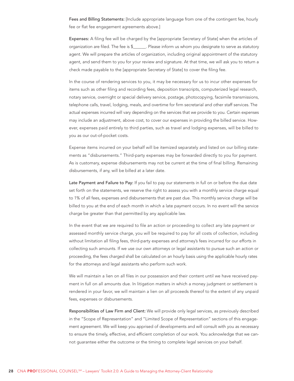Fees and Billing Statements: [Include appropriate language from one of the contingent fee, hourly fee or flat fee engagement agreements above.]

Expenses: A filing fee will be charged by the [appropriate Secretary of State] when the articles of organization are filed. The fee is \$\_\_\_\_\_\_. Please inform us whom you designate to serve as statutory agent. We will prepare the articles of organization, including original appointment of the statutory agent, and send them to you for your review and signature. At that time, we will ask you to return a check made payable to the [appropriate Secretary of State] to cover the filing fee.

In the course of rendering services to you, it may be necessary for us to incur other expenses for items such as other filing and recording fees, deposition transcripts, computerized legal research, notary service, overnight or special delivery service, postage, photocopying, facsimile transmissions, telephone calls, travel, lodging, meals, and overtime for firm secretarial and other staff services. The actual expenses incurred will vary depending on the services that we provide to you. Certain expenses may include an adjustment, above cost, to cover our expenses in providing the billed service. However, expenses paid entirely to third parties, such as travel and lodging expenses, will be billed to you as our out-of-pocket costs.

Expense items incurred on your behalf will be itemized separately and listed on our billing statements as "disbursements." Third-party expenses may be forwarded directly to you for payment. As is customary, expense disbursements may not be current at the time of final billing. Remaining disbursements, if any, will be billed at a later date.

Late Payment and Failure to Pay: If you fail to pay our statements in full on or before the due date set forth on the statements, we reserve the right to assess you with a monthly service charge equal to 1% of all fees, expenses and disbursements that are past due. This monthly service charge will be billed to you at the end of each month in which a late payment occurs. In no event will the service charge be greater than that permitted by any applicable law.

In the event that we are required to file an action or proceeding to collect any late payment or assessed monthly service charge, you will be required to pay for all costs of collection, including without limitation all filing fees, third-party expenses and attorney's fees incurred for our efforts in collecting such amounts. If we use our own attorneys or legal assistants to pursue such an action or proceeding, the fees charged shall be calculated on an hourly basis using the applicable hourly rates for the attorneys and legal assistants who perform such work.

We will maintain a lien on all files in our possession and their content until we have received payment in full on all amounts due. In litigation matters in which a money judgment or settlement is rendered in your favor, we will maintain a lien on all proceeds thereof to the extent of any unpaid fees, expenses or disbursements.

Responsibilities of Law Firm and Client: We will provide only legal services, as previously described in the "Scope of Representation" and "Limited Scope of Representation" sections of this engagement agreement. We will keep you apprised of developments and will consult with you as necessary to ensure the timely, effective, and efficient completion of our work. You acknowledge that we cannot guarantee either the outcome or the timing to complete legal services on your behalf.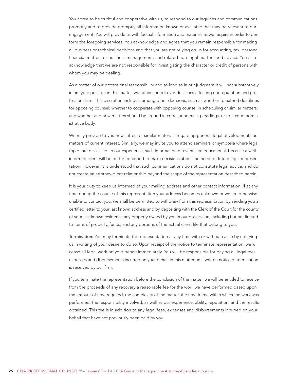You agree to be truthful and cooperative with us, to respond to our inquiries and communications promptly and to provide promptly all information known or available that may be relevant to our engagement. You will provide us with factual information and materials as we require in order to perform the foregoing services. You acknowledge and agree that you remain responsible for making all business or technical decisions and that you are not relying on us for accounting, tax, personal financial matters or business management, and related non-legal matters and advice. You also acknowledge that we are not responsible for investigating the character or credit of persons with whom you may be dealing.

As a matter of our professional responsibility and as long as in our judgment it will not substantively injure your position in this matter, we retain control over decisions affecting our reputation and professionalism. This discretion includes, among other decisions, such as whether to extend deadlines for opposing counsel; whether to cooperate with opposing counsel in scheduling or similar matters; and whether and how matters should be argued in correspondence, pleadings, or to a court administrative body.

We may provide to you newsletters or similar materials regarding general legal developments or matters of current interest. Similarly, we may invite you to attend seminars or symposia where legal topics are discussed. In our experience, such information or events are educational, because a wellinformed client will be better equipped to make decisions about the need for future legal representation. However, it is understood that such communications do not constitute legal advice, and do not create an attorney-client relationship beyond the scope of the representation described herein.

It is your duty to keep us informed of your mailing address and other contact information. If at any time during the course of this representation your address becomes unknown or we are otherwise unable to contact you, we shall be permitted to withdraw from this representation by sending you a certified letter to your last known address and by depositing with the Clerk of the Court for the county of your last known residence any property owned by you in our possession, including but not limited to items of property, funds, and any portions of the actual client file that belong to you.

Termination: You may terminate this representation at any time with or without cause by notifying us in writing of your desire to do so. Upon receipt of the notice to terminate representation, we will cease all legal work on your behalf immediately. You will be responsible for paying all legal fees, expenses and disbursements incurred on your behalf in this matter until written notice of termination is received by our firm.

If you terminate the representation before the conclusion of the matter, we will be entitled to receive from the proceeds of any recovery a reasonable fee for the work we have performed based upon the amount of time required, the complexity of the matter, the time frame within which the work was performed, the responsibility involved, as well as our experience, ability, reputation, and the results obtained. This fee is in addition to any legal fees, expenses and disbursements incurred on your behalf that have not previously been paid by you.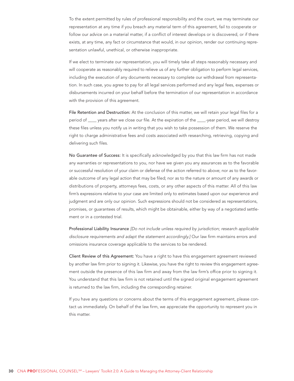To the extent permitted by rules of professional responsibility and the court, we may terminate our representation at any time if you breach any material term of this agreement, fail to cooperate or follow our advice on a material matter, if a conflict of interest develops or is discovered, or if there exists, at any time, any fact or circumstance that would, in our opinion, render our continuing representation unlawful, unethical, or otherwise inappropriate.

If we elect to terminate our representation, you will timely take all steps reasonably necessary and will cooperate as reasonably required to relieve us of any further obligation to perform legal services, including the execution of any documents necessary to complete our withdrawal from representation. In such case, you agree to pay for all legal services performed and any legal fees, expenses or disbursements incurred on your behalf before the termination of our representation in accordance with the provision of this agreement.

File Retention and Destruction: At the conclusion of this matter, we will retain your legal files for a period of \_\_\_\_ years after we close our file. At the expiration of the \_\_\_\_-year period, we will destroy these files unless you notify us in writing that you wish to take possession of them. We reserve the right to charge administrative fees and costs associated with researching, retrieving, copying and delivering such files.

No Guarantee of Success: It is specifically acknowledged by you that this law firm has not made any warranties or representations to you, nor have we given you any assurances as to the favorable or successful resolution of your claim or defense of the action referred to above; nor as to the favorable outcome of any legal action that may be filed; nor as to the nature or amount of any awards or distributions of property, attorneys fees, costs, or any other aspects of this matter. All of this law firm's expressions relative to your case are limited only to estimates based upon our experience and judgment and are only our opinion. Such expressions should not be considered as representations, promises, or guarantees of results, which might be obtainable, either by way of a negotiated settlement or in a contested trial.

Professional Liability Insurance [Do not include unless required by jurisdiction; research applicable disclosure requirements and adapt the statement accordingly.] Our law firm maintains errors and omissions insurance coverage applicable to the services to be rendered.

Client Review of this Agreement: You have a right to have this engagement agreement reviewed by another law firm prior to signing it. Likewise, you have the right to review this engagement agreement outside the presence of this law firm and away from the law firm's office prior to signing it. You understand that this law firm is not retained until the signed original engagement agreement is returned to the law firm, including the corresponding retainer.

If you have any questions or concerns about the terms of this engagement agreement, please contact us immediately. On behalf of the law firm, we appreciate the opportunity to represent you in this matter.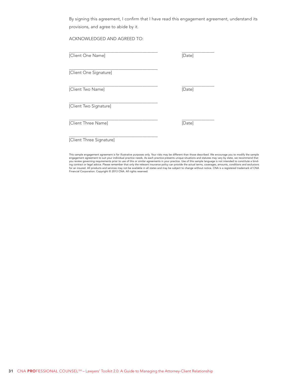By signing this agreement, I confirm that I have read this engagement agreement, understand its provisions, and agree to abide by it.

ACKNOWLEDGED AND AGREED TO:

| [Client One Name]        | [Date] |
|--------------------------|--------|
| [Client One Signature]   |        |
| [Client Two Name]        | [Date] |
| [Client Two Signature]   |        |
| [Client Three Name]      | [Date] |
| [Client Three Signature] |        |

This sample engagement agreement is for illustrative purposes only. Your risks may be different than those described. We encourage you to modify the sample<br>engagement agreement to suit your individual practice needs. As ea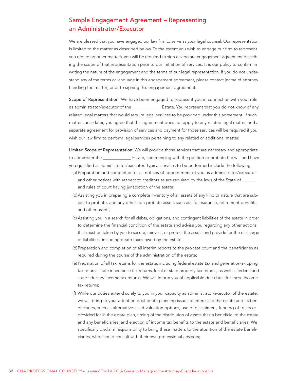# <span id="page-31-0"></span>Sample Engagement Agreement – Representing an Administrator/Executor

We are pleased that you have engaged our law firm to serve as your legal counsel. Our representation is limited to the matter as described below. To the extent you wish to engage our firm to represent you regarding other matters, you will be required to sign a separate engagement agreement describing the scope of that representation prior to our initiation of services. It is our policy to confirm in writing the nature of the engagement and the terms of our legal representation. If you do not understand any of the terms or language in this engagement agreement, please contact [name of attorney handling the matter] prior to signing this engagement agreement.

Scope of Representation: We have been engaged to represent you in connection with your role as administrator/executor of the \_\_\_\_\_\_\_\_\_\_\_\_\_ Estate. You represent that you do not know of any related legal matters that would require legal services to be provided under this agreement. If such matters arise later, you agree that this agreement does not apply to any related legal matter, and a separate agreement for provision of services and payment for those services will be required if you wish our law firm to perform legal services pertaining to any related or additional matter.

Limited Scope of Representation: We will provide those services that are necessary and appropriate to administer the \_\_\_\_\_\_\_\_\_\_\_\_\_\_\_\_\_ Estate, commencing with the petition to probate the will and have you qualified as administrator/executor. Typical services to be performed include the following:

- (a) Preparation and completion of all notices of appointment of you as administrator/executor and other notices with respect to creditors as are required by the laws of the State of  $\_\_$ and rules of court having jurisdiction of the estate;
- (b)Assisting you in preparing a complete inventory of all assets of any kind or nature that are subject to probate, and any other non-probate assets such as life insurance, retirement benefits, and other assets;
- (c) Assisting you in a search for all debts, obligations, and contingent liabilities of the estate in order to determine the financial condition of the estate and advise you regarding any other actions that must be taken by you to secure, reinvest, or protect the assets and provide for the discharge of liabilities, including death taxes owed by the estate;
- (d)Preparation and completion of all interim reports to the probate court and the beneficiaries as required during the course of the administration of the estate;
- (e) Preparation of all tax returns for the estate, including federal estate tax and generation-skipping tax returns, state inheritance tax returns, local or state property tax returns, as well as federal and state fiduciary income tax returns. We will inform you of applicable due dates for these income tax returns;
- (f) While our duties extend solely to you in your capacity as administrator/executor of the estate, we will bring to your attention post-death planning issues of interest to the estate and its beneficiaries, such as alternative asset valuation options, use of disclaimers, funding of trusts as provided for in the estate plan, timing of the distribution of assets that is beneficial to the estate and any beneficiaries, and election of income tax benefits to the estate and beneficiaries. We specifically disclaim responsibility to bring these matters to the attention of the estate beneficiaries, who should consult with their own professional advisors;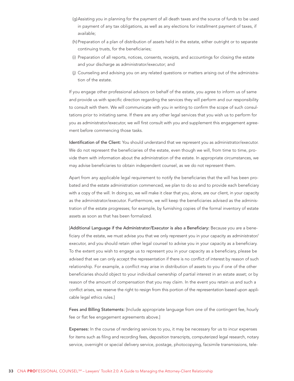- (g)Assisting you in planning for the payment of all death taxes and the source of funds to be used in payment of any tax obligations, as well as any elections for installment payment of taxes, if available;
- (h) Preparation of a plan of distribution of assets held in the estate, either outright or to separate continuing trusts, for the beneficiaries;
- (i) Preparation of all reports, notices, consents, receipts, and accountings for closing the estate and your discharge as administrator/executor; and
- (j) Counseling and advising you on any related questions or matters arising out of the administration of the estate.

If you engage other professional advisors on behalf of the estate, you agree to inform us of same and provide us with specific direction regarding the services they will perform and our responsibility to consult with them. We will communicate with you in writing to confirm the scope of such consultations prior to initiating same. If there are any other legal services that you wish us to perform for you as administrator/executor, we will first consult with you and supplement this engagement agreement before commencing those tasks.

Identification of the Client: You should understand that we represent you as administrator/executor. We do not represent the beneficiaries of the estate, even though we will, from time to time, provide them with information about the administration of the estate. In appropriate circumstances, we may advise beneficiaries to obtain independent counsel, as we do not represent them.

Apart from any applicable legal requirement to notify the beneficiaries that the will has been probated and the estate administration commenced, we plan to do so and to provide each beneficiary with a copy of the will. In doing so, we will make it clear that you, alone, are our client, in your capacity as the administrator/executor. Furthermore, we will keep the beneficiaries advised as the administration of the estate progresses; for example, by furnishing copies of the formal inventory of estate assets as soon as that has been formalized.

[Additional Language if the Administrator/Executor is also a Beneficiary: Because you are a beneficiary of the estate, we must advise you that we only represent you in your capacity as administrator/ executor, and you should retain other legal counsel to advise you in your capacity as a beneficiary. To the extent you wish to engage us to represent you in your capacity as a beneficiary, please be advised that we can only accept the representation if there is no conflict of interest by reason of such relationship. For example, a conflict may arise in distribution of assets to you if one of the other beneficiaries should object to your individual ownership of partial interest in an estate asset; or by reason of the amount of compensation that you may claim. In the event you retain us and such a conflict arises, we reserve the right to resign from this portion of the representation based upon applicable legal ethics rules.]

Fees and Billing Statements: [Include appropriate language from one of the contingent fee, hourly fee or flat fee engagement agreements above.]

Expenses: In the course of rendering services to you, it may be necessary for us to incur expenses for items such as filing and recording fees, deposition transcripts, computerized legal research, notary service, overnight or special delivery service, postage, photocopying, facsimile transmissions, tele-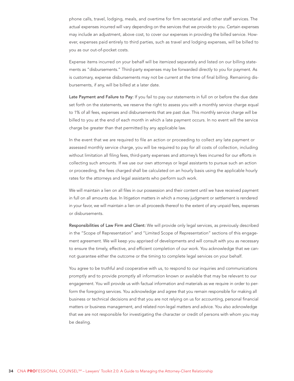phone calls, travel, lodging, meals, and overtime for firm secretarial and other staff services. The actual expenses incurred will vary depending on the services that we provide to you. Certain expenses may include an adjustment, above cost, to cover our expenses in providing the billed service. However, expenses paid entirely to third parties, such as travel and lodging expenses, will be billed to you as our out-of-pocket costs.

Expense items incurred on your behalf will be itemized separately and listed on our billing statements as "disbursements." Third-party expenses may be forwarded directly to you for payment. As is customary, expense disbursements may not be current at the time of final billing. Remaining disbursements, if any, will be billed at a later date.

Late Payment and Failure to Pay: If you fail to pay our statements in full on or before the due date set forth on the statements, we reserve the right to assess you with a monthly service charge equal to 1% of all fees, expenses and disbursements that are past due. This monthly service charge will be billed to you at the end of each month in which a late payment occurs. In no event will the service charge be greater than that permitted by any applicable law.

In the event that we are required to file an action or proceeding to collect any late payment or assessed monthly service charge, you will be required to pay for all costs of collection, including without limitation all filing fees, third-party expenses and attorney's fees incurred for our efforts in collecting such amounts. If we use our own attorneys or legal assistants to pursue such an action or proceeding, the fees charged shall be calculated on an hourly basis using the applicable hourly rates for the attorneys and legal assistants who perform such work.

We will maintain a lien on all files in our possession and their content until we have received payment in full on all amounts due. In litigation matters in which a money judgment or settlement is rendered in your favor, we will maintain a lien on all proceeds thereof to the extent of any unpaid fees, expenses or disbursements.

Responsibilities of Law Firm and Client: We will provide only legal services, as previously described in the "Scope of Representation" and "Limited Scope of Representation" sections of this engagement agreement. We will keep you apprised of developments and will consult with you as necessary to ensure the timely, effective, and efficient completion of our work. You acknowledge that we cannot guarantee either the outcome or the timing to complete legal services on your behalf.

You agree to be truthful and cooperative with us, to respond to our inquiries and communications promptly and to provide promptly all information known or available that may be relevant to our engagement. You will provide us with factual information and materials as we require in order to perform the foregoing services. You acknowledge and agree that you remain responsible for making all business or technical decisions and that you are not relying on us for accounting, personal financial matters or business management, and related non-legal matters and advice. You also acknowledge that we are not responsible for investigating the character or credit of persons with whom you may be dealing.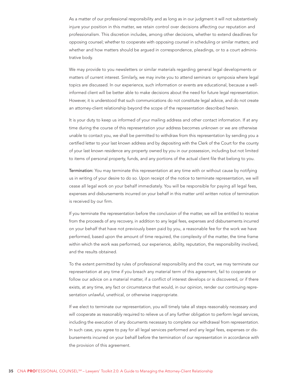As a matter of our professional responsibility and as long as in our judgment it will not substantively injure your position in this matter, we retain control over decisions affecting our reputation and professionalism. This discretion includes, among other decisions, whether to extend deadlines for opposing counsel; whether to cooperate with opposing counsel in scheduling or similar matters; and whether and how matters should be argued in correspondence, pleadings, or to a court administrative body.

We may provide to you newsletters or similar materials regarding general legal developments or matters of current interest. Similarly, we may invite you to attend seminars or symposia where legal topics are discussed. In our experience, such information or events are educational, because a wellinformed client will be better able to make decisions about the need for future legal representation. However, it is understood that such communications do not constitute legal advice, and do not create an attorney-client relationship beyond the scope of the representation described herein.

It is your duty to keep us informed of your mailing address and other contact information. If at any time during the course of this representation your address becomes unknown or we are otherwise unable to contact you, we shall be permitted to withdraw from this representation by sending you a certified letter to your last known address and by depositing with the Clerk of the Court for the county of your last known residence any property owned by you in our possession, including but not limited to items of personal property, funds, and any portions of the actual client file that belong to you.

Termination: You may terminate this representation at any time with or without cause by notifying us in writing of your desire to do so. Upon receipt of the notice to terminate representation, we will cease all legal work on your behalf immediately. You will be responsible for paying all legal fees, expenses and disbursements incurred on your behalf in this matter until written notice of termination is received by our firm.

If you terminate the representation before the conclusion of the matter, we will be entitled to receive from the proceeds of any recovery, in addition to any legal fees, expenses and disbursements incurred on your behalf that have not previously been paid by you, a reasonable fee for the work we have performed, based upon the amount of time required, the complexity of the matter, the time frame within which the work was performed, our experience, ability, reputation, the responsibility involved, and the results obtained.

To the extent permitted by rules of professional responsibility and the court, we may terminate our representation at any time if you breach any material term of this agreement, fail to cooperate or follow our advice on a material matter, if a conflict of interest develops or is discovered, or if there exists, at any time, any fact or circumstance that would, in our opinion, render our continuing representation unlawful, unethical, or otherwise inappropriate.

If we elect to terminate our representation, you will timely take all steps reasonably necessary and will cooperate as reasonably required to relieve us of any further obligation to perform legal services, including the execution of any documents necessary to complete our withdrawal from representation. In such case, you agree to pay for all legal services performed and any legal fees, expenses or disbursements incurred on your behalf before the termination of our representation in accordance with the provision of this agreement.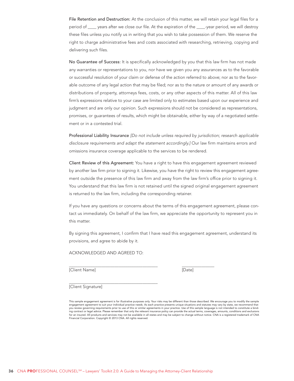File Retention and Destruction: At the conclusion of this matter, we will retain your legal files for a period of \_\_\_\_ years after we close our file. At the expiration of the \_\_\_\_-year period, we will destroy these files unless you notify us in writing that you wish to take possession of them. We reserve the right to charge administrative fees and costs associated with researching, retrieving, copying and delivering such files.

No Guarantee of Success: It is specifically acknowledged by you that this law firm has not made any warranties or representations to you, nor have we given you any assurances as to the favorable or successful resolution of your claim or defense of the action referred to above; nor as to the favorable outcome of any legal action that may be filed; nor as to the nature or amount of any awards or distributions of property, attorneys fees, costs, or any other aspects of this matter. All of this law firm's expressions relative to your case are limited only to estimates based upon our experience and judgment and are only our opinion. Such expressions should not be considered as representations, promises, or guarantees of results, which might be obtainable, either by way of a negotiated settlement or in a contested trial.

Professional Liability Insurance [Do not include unless required by jurisdiction; research applicable disclosure requirements and adapt the statement accordingly.] Our law firm maintains errors and omissions insurance coverage applicable to the services to be rendered.

Client Review of this Agreement: You have a right to have this engagement agreement reviewed by another law firm prior to signing it. Likewise, you have the right to review this engagement agreement outside the presence of this law firm and away from the law firm's office prior to signing it. You understand that this law firm is not retained until the signed original engagement agreement is returned to the law firm, including the corresponding retainer.

If you have any questions or concerns about the terms of this engagement agreement, please contact us immediately. On behalf of the law firm, we appreciate the opportunity to represent you in this matter.

By signing this agreement, I confirm that I have read this engagement agreement, understand its provisions, and agree to abide by it.

ACKNOWLEDGED AND AGREED TO:

[Client Name] [Date]

 $\overline{a}$ 

 $\overline{\phantom{a}}$ 

[Client Signature]

This sample engagement agreement is for illustrative purposes only. Your risks may be different than those described. We encourage you to modify the sample<br>engagement agreement to suit your individual practice needs. As ea you review governing requirements prior to use of this or similar agreements in your practice. Use of this sample language is not intended to constitute a bind-<br>ing contract or legal advice. Please remember that only the r for an insured. All products and services may not be available in all states and may be subject to change without notice. CNA is a registered trademark of CNA Financial Corporation. Copyright © 2013 CNA. All rights reserved.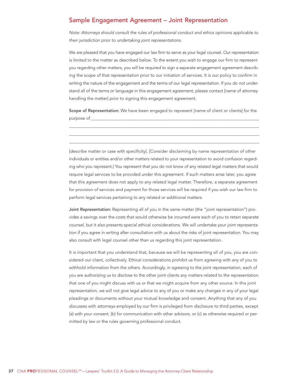# <span id="page-36-0"></span>Sample Engagement Agreement - Joint Representation

Note: Attorneys should consult the rules of professional conduct and ethics opinions applicable to their jurisdiction prior to undertaking joint representations.

We are pleased that you have engaged our law firm to serve as your legal counsel. Our representation is limited to the matter as described below. To the extent you wish to engage our firm to represent you regarding other matters, you will be required to sign a separate engagement agreement describing the scope of that representation prior to our initiation of services. It is our policy to confirm in writing the nature of the engagement and the terms of our legal representation. If you do not understand all of the terms or language in this engagement agreement, please contact [name of attorney handling the matterl prior to signing this engagement agreement.

Scope of Representation: We have been engaged to represent [name of client or clients] for the purpose of

[describe matter or case with specificity]. [Consider disclaiming by name representation of other individuals or entities and/or other matters related to your representation to avoid confusion regarding who you represent.] You represent that you do not know of any related legal matters that would require legal services to be provided under this agreement. If such matters arise later, you agree that this agreement does not apply to any related legal matter. Therefore, a separate agreement for provision of services and payment for those services will be required if you wish our law firm to perform legal services pertaining to any related or additional matters.

Joint Representation: Representing all of you in the same matter (the "joint representation") provides a savings over the costs that would otherwise be incurred were each of you to retain separate counsel, but it also presents special ethical considerations. We will undertake your joint representation if you agree in writing after consultation with us about the risks of joint representation. You may also consult with legal counsel other than us regarding this joint representation.

It is important that you understand that, because we will be representing all of you, you are considered our client, collectively. Ethical considerations prohibit us from agreeing with any of you to withhold information from the others. Accordingly, in agreeing to the joint representation, each of you are authorizing us to disclose to the other joint clients any matters related to the representation that one of you might discuss with us or that we might acquire from any other source. In this joint representation, we will not give legal advice to any of you or make any changes in any of your legal pleadings or documents without your mutual knowledge and consent. Anything that any of you discusses with attorneys employed by our firm is privileged from disclosure to third parties, except (a) with your consent, (b) for communication with other advisors, or (c) as otherwise required or permitted by law or the rules governing professional conduct.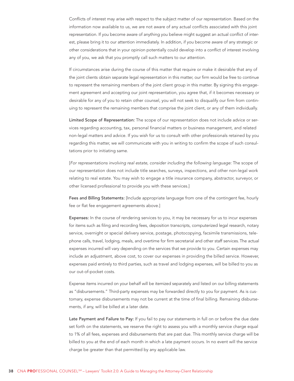Conflicts of interest may arise with respect to the subject matter of our representation. Based on the information now available to us, we are not aware of any actual conflicts associated with this joint representation. If you become aware of anything you believe might suggest an actual conflict of interest, please bring it to our attention immediately. In addition, if you become aware of any strategic or other considerations that in your opinion potentially could develop into a conflict of interest involving any of you, we ask that you promptly call such matters to our attention.

If circumstances arise during the course of this matter that require or make it desirable that any of the joint clients obtain separate legal representation in this matter, our firm would be free to continue to represent the remaining members of the joint client group in this matter. By signing this engagement agreement and accepting our joint representation, you agree that, if it becomes necessary or desirable for any of you to retain other counsel, you will not seek to disqualify our firm from continuing to represent the remaining members that comprise the joint client, or any of them individually.

Limited Scope of Representation: The scope of our representation does not include advice or services regarding accounting, tax, personal financial matters or business management, and related non-legal matters and advice. If you wish for us to consult with other professionals retained by you regarding this matter, we will communicate with you in writing to confirm the scope of such consultations prior to initiating same.

[For representations involving real estate, consider including the following language: The scope of our representation does not include title searches, surveys, inspections, and other non-legal work relating to real estate. You may wish to engage a title insurance company, abstractor, surveyor, or other licensed professional to provide you with these services.]

Fees and Billing Statements: [Include appropriate language from one of the contingent fee, hourly fee or flat fee engagement agreements above.]

Expenses: In the course of rendering services to you, it may be necessary for us to incur expenses for items such as filing and recording fees, deposition transcripts, computerized legal research, notary service, overnight or special delivery service, postage, photocopying, facsimile transmissions, telephone calls, travel, lodging, meals, and overtime for firm secretarial and other staff services. The actual expenses incurred will vary depending on the services that we provide to you. Certain expenses may include an adjustment, above cost, to cover our expenses in providing the billed service. However, expenses paid entirely to third parties, such as travel and lodging expenses, will be billed to you as our out-of-pocket costs.

Expense items incurred on your behalf will be itemized separately and listed on our billing statements as "disbursements." Third-party expenses may be forwarded directly to you for payment. As is customary, expense disbursements may not be current at the time of final billing. Remaining disbursements, if any, will be billed at a later date.

Late Payment and Failure to Pay: If you fail to pay our statements in full on or before the due date set forth on the statements, we reserve the right to assess you with a monthly service charge equal to 1% of all fees, expenses and disbursements that are past due. This monthly service charge will be billed to you at the end of each month in which a late payment occurs. In no event will the service charge be greater than that permitted by any applicable law.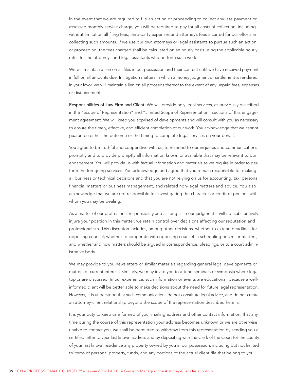In the event that we are required to file an action or proceeding to collect any late payment or assessed monthly service charge, you will be required to pay for all costs of collection, including without limitation all filing fees, third-party expenses and attorney's fees incurred for our efforts in collecting such amounts. If we use our own attorneys or legal assistants to pursue such an action or proceeding, the fees charged shall be calculated on an hourly basis using the applicable hourly rates for the attorneys and legal assistants who perform such work.

We will maintain a lien on all files in our possession and their content until we have received payment in full on all amounts due. In litigation matters in which a money judgment or settlement is rendered in your favor, we will maintain a lien on all proceeds thereof to the extent of any unpaid fees, expenses or disbursements.

Responsibilities of Law Firm and Client: We will provide only legal services, as previously described in the "Scope of Representation" and "Limited Scope of Representation" sections of this engagement agreement. We will keep you apprised of developments and will consult with you as necessary to ensure the timely, effective, and efficient completion of our work. You acknowledge that we cannot guarantee either the outcome or the timing to complete legal services on your behalf.

You agree to be truthful and cooperative with us, to respond to our inquiries and communications promptly and to provide promptly all information known or available that may be relevant to our engagement. You will provide us with factual information and materials as we require in order to perform the foregoing services. You acknowledge and agree that you remain responsible for making all business or technical decisions and that you are not relying on us for accounting, tax, personal financial matters or business management, and related non-legal matters and advice. You also acknowledge that we are not responsible for investigating the character or credit of persons with whom you may be dealing.

As a matter of our professional responsibility and as long as in our judgment it will not substantively injure your position in this matter, we retain control over decisions affecting our reputation and professionalism. This discretion includes, among other decisions, whether to extend deadlines for opposing counsel; whether to cooperate with opposing counsel in scheduling or similar matters; and whether and how matters should be argued in correspondence, pleadings, or to a court administrative body.

We may provide to you newsletters or similar materials regarding general legal developments or matters of current interest. Similarly, we may invite you to attend seminars or symposia where legal topics are discussed. In our experience, such information or events are educational, because a wellinformed client will be better able to make decisions about the need for future legal representation. However, it is understood that such communications do not constitute legal advice, and do not create an attorney-client relationship beyond the scope of the representation described herein.

It is your duty to keep us informed of your mailing address and other contact information. If at any time during the course of this representation your address becomes unknown or we are otherwise unable to contact you, we shall be permitted to withdraw from this representation by sending you a certified letter to your last known address and by depositing with the Clerk of the Court for the county of your last known residence any property owned by you in our possession, including but not limited to items of personal property, funds, and any portions of the actual client file that belong to you.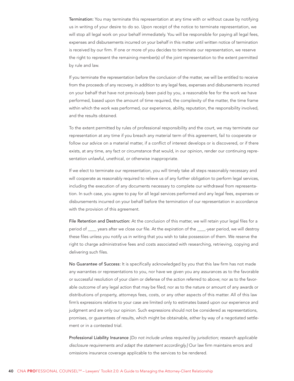Termination: You may terminate this representation at any time with or without cause by notifying us in writing of your desire to do so. Upon receipt of the notice to terminate representation, we will stop all legal work on your behalf immediately. You will be responsible for paying all legal fees, expenses and disbursements incurred on your behalf in this matter until written notice of termination is received by our firm. If one or more of you decides to terminate our representation, we reserve the right to represent the remaining member(s) of the joint representation to the extent permitted by rule and law.

If you terminate the representation before the conclusion of the matter, we will be entitled to receive from the proceeds of any recovery, in addition to any legal fees, expenses and disbursements incurred on your behalf that have not previously been paid by you, a reasonable fee for the work we have performed, based upon the amount of time required, the complexity of the matter, the time frame within which the work was performed, our experience, ability, reputation, the responsibility involved, and the results obtained.

To the extent permitted by rules of professional responsibility and the court, we may terminate our representation at any time if you breach any material term of this agreement, fail to cooperate or follow our advice on a material matter, if a conflict of interest develops or is discovered, or if there exists, at any time, any fact or circumstance that would, in our opinion, render our continuing representation unlawful, unethical, or otherwise inappropriate.

If we elect to terminate our representation, you will timely take all steps reasonably necessary and will cooperate as reasonably required to relieve us of any further obligation to perform legal services, including the execution of any documents necessary to complete our withdrawal from representation. In such case, you agree to pay for all legal services performed and any legal fees, expenses or disbursements incurred on your behalf before the termination of our representation in accordance with the provision of this agreement.

File Retention and Destruction: At the conclusion of this matter, we will retain your legal files for a period of \_\_\_\_ years after we close our file. At the expiration of the \_\_\_\_-year period, we will destroy these files unless you notify us in writing that you wish to take possession of them. We reserve the right to charge administrative fees and costs associated with researching, retrieving, copying and delivering such files.

No Guarantee of Success: It is specifically acknowledged by you that this law firm has not made any warranties or representations to you, nor have we given you any assurances as to the favorable or successful resolution of your claim or defense of the action referred to above; nor as to the favorable outcome of any legal action that may be filed; nor as to the nature or amount of any awards or distributions of property, attorneys fees, costs, or any other aspects of this matter. All of this law firm's expressions relative to your case are limited only to estimates based upon our experience and judgment and are only our opinion. Such expressions should not be considered as representations, promises, or guarantees of results, which might be obtainable, either by way of a negotiated settlement or in a contested trial.

Professional Liability Insurance [Do not include unless required by jurisdiction; research applicable disclosure requirements and adapt the statement accordingly.] Our law firm maintains errors and omissions insurance coverage applicable to the services to be rendered.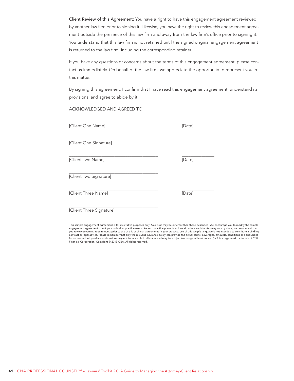Client Review of this Agreement: You have a right to have this engagement agreement reviewed by another law firm prior to signing it. Likewise, you have the right to review this engagement agreement outside the presence of this law firm and away from the law firm's office prior to signing it. You understand that this law firm is not retained until the signed original engagement agreement is returned to the law firm, including the corresponding retainer.

If you have any questions or concerns about the terms of this engagement agreement, please contact us immediately. On behalf of the law firm, we appreciate the opportunity to represent you in this matter.

By signing this agreement, I confirm that I have read this engagement agreement, understand its provisions, and agree to abide by it.

ACKNOWLEDGED AND AGREED TO:

| [Client One Name]      | [Date] |
|------------------------|--------|
| [Client One Signature] |        |
| [Client Two Name]      | [Date] |
| [Client Two Signature] |        |
| [Client Three Name]    | [Date] |

[Client Three Signature]

This sample engagement agreement is for illustrative purposes only. Your risks may be different than those described. We encourage you to modify the sample engagement agreement to suit your individual practice needs. As each practice presents unique situations and statutes may vary by state, we recommend that you review governing requirements prior to use of this or similar agreements in your practice. Use of this sample language is not intended to constitute a binding<br>contract or legal advice. Please remember that only the rel for an insured. All products and services may not be available in all states and may be subject to change without notice. CNA is a registered trademark of CNA Financial Corporation. Copyright © 2013 CNA. All rights reserved.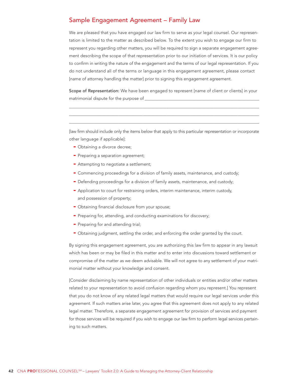## <span id="page-41-0"></span>Sample Engagement Agreement - Family Law

We are pleased that you have engaged our law firm to serve as your legal counsel. Our representation is limited to the matter as described below. To the extent you wish to engage our firm to represent you regarding other matters, you will be required to sign a separate engagement agreement describing the scope of that representation prior to our initiation of services. It is our policy to confirm in writing the nature of the engagement and the terms of our legal representation. If you do not understand all of the terms or language in this engagement agreement, please contact [name of attorney handling the matter] prior to signing this engagement agreement.

Scope of Representation: We have been engaged to represent [name of client or clients] in your matrimonial dispute for the purpose of

[law firm should include only the items below that apply to this particular representation or incorporate other language if applicable]:

- Obtaining a divorce decree;
- Preparing a separation agreement;
- Attempting to negotiate a settlement;
- Commencing proceedings for a division of family assets, maintenance, and custody;
- Defending proceedings for a division of family assets, maintenance, and custody;
- Application to court for restraining orders, interim maintenance, interim custody, and possession of property;
- Obtaining financial disclosure from your spouse;
- Preparing for, attending, and conducting examinations for discovery;
- Preparing for and attending trial;
- Obtaining judgment, settling the order, and enforcing the order granted by the court.

By signing this engagement agreement, you are authorizing this law firm to appear in any lawsuit which has been or may be filed in this matter and to enter into discussions toward settlement or compromise of the matter as we deem advisable. We will not agree to any settlement of your matrimonial matter without your knowledge and consent.

[Consider disclaiming by name representation of other individuals or entities and/or other matters related to your representation to avoid confusion regarding whom you represent.] You represent that you do not know of any related legal matters that would require our legal services under this agreement. If such matters arise later, you agree that this agreement does not apply to any related legal matter. Therefore, a separate engagement agreement for provision of services and payment for those services will be required if you wish to engage our law firm to perform legal services pertaining to such matters.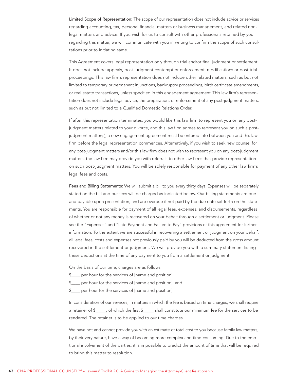Limited Scope of Representation: The scope of our representation does not include advice or services regarding accounting, tax, personal financial matters or business management, and related nonlegal matters and advice. If you wish for us to consult with other professionals retained by you regarding this matter, we will communicate with you in writing to confirm the scope of such consultations prior to initiating same.

This Agreement covers legal representation only through trial and/or final judgment or settlement. It does not include appeals, post-judgment contempt or enforcement, modifications or post-trial proceedings. This law firm's representation does not include other related matters, such as but not limited to temporary or permanent injunctions, bankruptcy proceedings, birth certificate amendments, or real estate transactions, unless specified in this engagement agreement. This law firm's representation does not include legal advice, the preparation, or enforcement of any post-judgment matters, such as but not limited to a Qualified Domestic Relations Order.

If after this representation terminates, you would like this law firm to represent you on any postjudgment matters related to your divorce, and this law firm agrees to represent you on such a postjudgment matter(s), a new engagement agreement must be entered into between you and this law firm before the legal representation commences. Alternatively, if you wish to seek new counsel for any post-judgment matters and/or this law firm does not wish to represent you on any post-judgment matters, the law firm may provide you with referrals to other law firms that provide representation on such post-judgment matters. You will be solely responsible for payment of any other law firm's legal fees and costs.

Fees and Billing Statements: We will submit a bill to you every thirty days. Expenses will be separately stated on the bill and our fees will be charged as indicated below. Our billing statements are due and payable upon presentation, and are overdue if not paid by the due date set forth on the statements. You are responsible for payment of all legal fees, expenses, and disbursements, regardless of whether or not any money is recovered on your behalf through a settlement or judgment. Please see the "Expenses" and "Late Payment and Failure to Pay" provisions of this agreement for further information. To the extent we are successful in recovering a settlement or judgment on your behalf, all legal fees, costs and expenses not previously paid by you will be deducted from the gross amount recovered in the settlement or judgment. We will provide you with a summary statement listing these deductions at the time of any payment to you from a settlement or judgment.

On the basis of our time, charges are as follows:

- \$\_\_\_\_ per hour for the services of [name and position];
- \$\_\_\_\_ per hour for the services of [name and position]; and
- \$\_\_\_\_ per hour for the services of [name and position].

In consideration of our services, in matters in which the fee is based on time charges, we shall require a retainer of \$\_\_\_\_, of which the first \$\_\_\_\_\_ shall constitute our minimum fee for the services to be rendered. The retainer is to be applied to our time charges.

We have not and cannot provide you with an estimate of total cost to you because family law matters, by their very nature, have a way of becoming more complex and time-consuming. Due to the emotional involvement of the parties, it is impossible to predict the amount of time that will be required to bring this matter to resolution.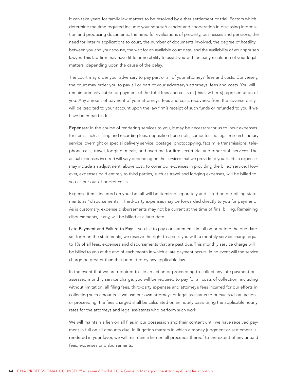It can take years for family law matters to be resolved by either settlement or trial. Factors which determine the time required include: your spouse's candor and cooperation in disclosing information and producing documents, the need for evaluations of property, businesses and pensions, the need for interim applications to court, the number of documents involved, the degree of hostility between you and your spouse, the wait for an available court date, and the availability of your spouse's lawyer. This law firm may have little or no ability to assist you with an early resolution of your legal matters, depending upon the cause of the delay.

The court may order your adversary to pay part or all of your attorneys' fees and costs. Conversely, the court may order you to pay all or part of your adversary's attorneys' fees and costs. You will remain primarily liable for payment of the total fees and costs of [this law firm's] representation of you. Any amount of payment of your attorneys' fees and costs recovered from the adverse party will be credited to your account upon the law firm's receipt of such funds or refunded to you if we have been paid in full.

Expenses: In the course of rendering services to you, it may be necessary for us to incur expenses for items such as filing and recording fees, deposition transcripts, computerized legal research, notary service, overnight or special delivery service, postage, photocopying, facsimile transmissions, telephone calls, travel, lodging, meals, and overtime for firm secretarial and other staff services. The actual expenses incurred will vary depending on the services that we provide to you. Certain expenses may include an adjustment, above cost, to cover our expenses in providing the billed service. However, expenses paid entirely to third parties, such as travel and lodging expenses, will be billed to you as our out-of-pocket costs.

Expense items incurred on your behalf will be itemized separately and listed on our billing statements as "disbursements." Third-party expenses may be forwarded directly to you for payment. As is customary, expense disbursements may not be current at the time of final billing. Remaining disbursements, if any, will be billed at a later date.

Late Payment and Failure to Pay: If you fail to pay our statements in full on or before the due date set forth on the statements, we reserve the right to assess you with a monthly service charge equal to 1% of all fees, expenses and disbursements that are past due. This monthly service charge will be billed to you at the end of each month in which a late payment occurs. In no event will the service charge be greater than that permitted by any applicable law.

In the event that we are required to file an action or proceeding to collect any late payment or assessed monthly service charge, you will be required to pay for all costs of collection, including without limitation, all filing fees, third-party expenses and attorney's fees incurred for our efforts in collecting such amounts. If we use our own attorneys or legal assistants to pursue such an action or proceeding, the fees charged shall be calculated on an hourly basis using the applicable hourly rates for the attorneys and legal assistants who perform such work.

We will maintain a lien on all files in our possession and their content until we have received payment in full on all amounts due. In litigation matters in which a money judgment or settlement is rendered in your favor, we will maintain a lien on all proceeds thereof to the extent of any unpaid fees, expenses or disbursements.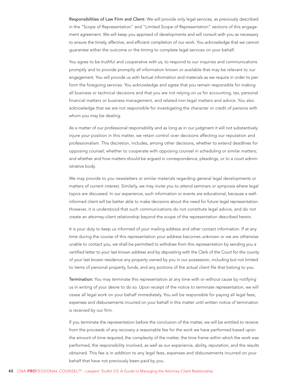Responsibilities of Law Firm and Client: We will provide only legal services, as previously described in the "Scope of Representation" and "Limited Scope of Representation" sections of this engagement agreement. We will keep you apprised of developments and will consult with you as necessary to ensure the timely, effective, and efficient completion of our work. You acknowledge that we cannot guarantee either the outcome or the timing to complete legal services on your behalf.

You agree to be truthful and cooperative with us, to respond to our inquiries and communications promptly and to provide promptly all information known or available that may be relevant to our engagement. You will provide us with factual information and materials as we require in order to perform the foregoing services. You acknowledge and agree that you remain responsible for making all business or technical decisions and that you are not relying on us for accounting, tax, personal financial matters or business management, and related non-legal matters and advice. You also acknowledge that we are not responsible for investigating the character or credit of persons with whom you may be dealing.

As a matter of our professional responsibility and as long as in our judgment it will not substantively injure your position in this matter, we retain control over decisions affecting our reputation and professionalism. This discretion, includes, among other decisions, whether to extend deadlines for opposing counsel; whether to cooperate with opposing counsel in scheduling or similar matters; and whether and how matters should be argued in correspondence, pleadings, or to a court administrative body.

We may provide to you newsletters or similar materials regarding general legal developments or matters of current interest. Similarly, we may invite you to attend seminars or symposia where legal topics are discussed. In our experience, such information or events are educational, because a wellinformed client will be better able to make decisions about the need for future legal representation. However, it is understood that such communications do not constitute legal advice, and do not create an attorney-client relationship beyond the scope of the representation described herein.

It is your duty to keep us informed of your mailing address and other contact information. If at any time during the course of this representation your address becomes unknown or we are otherwise unable to contact you, we shall be permitted to withdraw from this representation by sending you a certified letter to your last known address and by depositing with the Clerk of the Court for the county of your last known residence any property owned by you in our possession, including but not limited to items of personal property, funds, and any portions of the actual client file that belong to you.

Termination: You may terminate this representation at any time with or without cause by notifying us in writing of your desire to do so. Upon receipt of the notice to terminate representation, we will cease all legal work on your behalf immediately. You will be responsible for paying all legal fees, expenses and disbursements incurred on your behalf in this matter until written notice of termination is received by our firm.

If you terminate the representation before the conclusion of the matter, we will be entitled to receive from the proceeds of any recovery a reasonable fee for the work we have performed based upon the amount of time required, the complexity of the matter, the time frame within which the work was performed, the responsibility involved, as well as our experience, ability, reputation, and the results obtained. This fee is in addition to any legal fees, expenses and disbursements incurred on your behalf that have not previously been paid by you.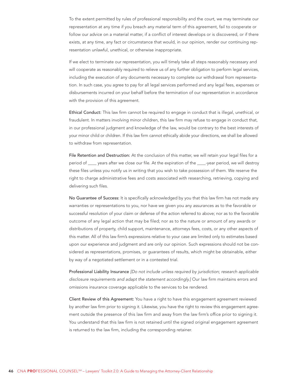To the extent permitted by rules of professional responsibility and the court, we may terminate our representation at any time if you breach any material term of this agreement, fail to cooperate or follow our advice on a material matter, if a conflict of interest develops or is discovered, or if there exists, at any time, any fact or circumstance that would, in our opinion, render our continuing representation unlawful, unethical, or otherwise inappropriate.

If we elect to terminate our representation, you will timely take all steps reasonably necessary and will cooperate as reasonably required to relieve us of any further obligation to perform legal services, including the execution of any documents necessary to complete our withdrawal from representation. In such case, you agree to pay for all legal services performed and any legal fees, expenses or disbursements incurred on your behalf before the termination of our representation in accordance with the provision of this agreement.

Ethical Conduct: This law firm cannot be required to engage in conduct that is illegal, unethical, or fraudulent. In matters involving minor children, this law firm may refuse to engage in conduct that, in our professional judgment and knowledge of the law, would be contrary to the best interests of your minor child or children. If this law firm cannot ethically abide your directions, we shall be allowed to withdraw from representation.

File Retention and Destruction: At the conclusion of this matter, we will retain your legal files for a period of \_\_\_\_ years after we close our file. At the expiration of the \_\_\_\_-year period, we will destroy these files unless you notify us in writing that you wish to take possession of them. We reserve the right to charge administrative fees and costs associated with researching, retrieving, copying and delivering such files.

No Guarantee of Success: It is specifically acknowledged by you that this law firm has not made any warranties or representations to you, nor have we given you any assurances as to the favorable or successful resolution of your claim or defense of the action referred to above; nor as to the favorable outcome of any legal action that may be filed; nor as to the nature or amount of any awards or distributions of property, child support, maintenance, attorneys fees, costs, or any other aspects of this matter. All of this law firm's expressions relative to your case are limited only to estimates based upon our experience and judgment and are only our opinion. Such expressions should not be considered as representations, promises, or guarantees of results, which might be obtainable, either by way of a negotiated settlement or in a contested trial.

Professional Liability Insurance [Do not include unless required by jurisdiction; research applicable disclosure requirements and adapt the statement accordingly.] Our law firm maintains errors and omissions insurance coverage applicable to the services to be rendered.

Client Review of this Agreement: You have a right to have this engagement agreement reviewed by another law firm prior to signing it. Likewise, you have the right to review this engagement agreement outside the presence of this law firm and away from the law firm's office prior to signing it. You understand that this law firm is not retained until the signed original engagement agreement is returned to the law firm, including the corresponding retainer.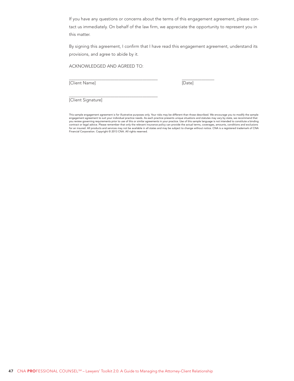If you have any questions or concerns about the terms of this engagement agreement, please contact us immediately. On behalf of the law firm, we appreciate the opportunity to represent you in this matter.

By signing this agreement, I confirm that I have read this engagement agreement, understand its provisions, and agree to abide by it.

ACKNOWLEDGED AND AGREED TO:

[Client Name] [Date]

 $\overline{a}$ 

 $\overline{\phantom{a}}$ 

[Client Signature]

This sample engagement agreement is for illustrative purposes only. Your risks may be different than those described. We encourage you to modify the sample<br>engagement agreement to suit your individual practice needs. As ea you review governing requirements prior to use of this or similar agreements in your practice. Use of this sample language is not intended to constitute a binding<br>contract or legal advice. Please remember that only the rel for an insured. All products and services may not be available in all states and may be subject to change without notice. CNA is a registered trademark of CNA<br>Financial Corporation. Copyright © 2013 CNA. All rights reserve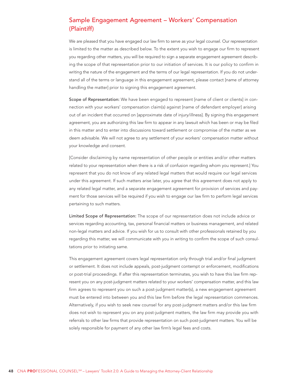# <span id="page-47-0"></span>Sample Engagement Agreement – Workers' Compensation (Plaintiff)

We are pleased that you have engaged our law firm to serve as your legal counsel. Our representation is limited to the matter as described below. To the extent you wish to engage our firm to represent you regarding other matters, you will be required to sign a separate engagement agreement describing the scope of that representation prior to our initiation of services. It is our policy to confirm in writing the nature of the engagement and the terms of our legal representation. If you do not understand all of the terms or language in this engagement agreement, please contact [name of attorney handling the matter] prior to signing this engagement agreement.

Scope of Representation: We have been engaged to represent [name of client or clients] in connection with your workers' compensation claim(s) against [name of defendant employer] arising out of an incident that occurred on [approximate date of injury/illness]. By signing this engagement agreement, you are authorizing this law firm to appear in any lawsuit which has been or may be filed in this matter and to enter into discussions toward settlement or compromise of the matter as we deem advisable. We will not agree to any settlement of your workers' compensation matter without your knowledge and consent.

[Consider disclaiming by name representation of other people or entities and/or other matters related to your representation when there is a risk of confusion regarding whom you represent.] You represent that you do not know of any related legal matters that would require our legal services under this agreement. If such matters arise later, you agree that this agreement does not apply to any related legal matter, and a separate engagement agreement for provision of services and payment for those services will be required if you wish to engage our law firm to perform legal services pertaining to such matters.

Limited Scope of Representation: The scope of our representation does not include advice or services regarding accounting, tax, personal financial matters or business management, and related non-legal matters and advice. If you wish for us to consult with other professionals retained by you regarding this matter, we will communicate with you in writing to confirm the scope of such consultations prior to initiating same.

This engagement agreement covers legal representation only through trial and/or final judgment or settlement. It does not include appeals, post-judgment contempt or enforcement, modifications or post-trial proceedings. If after this representation terminates, you wish to have this law firm represent you on any post-judgment matters related to your workers' compensation matter, and this law firm agrees to represent you on such a post-judgment matter(s), a new engagement agreement must be entered into between you and this law firm before the legal representation commences. Alternatively, if you wish to seek new counsel for any post-judgment matters and/or this law firm does not wish to represent you on any post-judgment matters, the law firm may provide you with referrals to other law firms that provide representation on such post-judgment matters. You will be solely responsible for payment of any other law firm's legal fees and costs.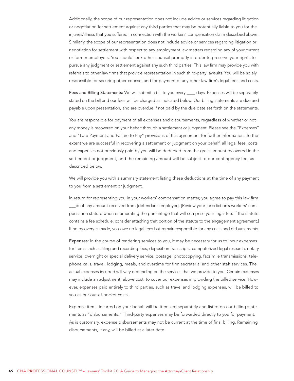Additionally, the scope of our representation does not include advice or services regarding litigation or negotiation for settlement against any third parties that may be potentially liable to you for the injuries/illness that you suffered in connection with the workers' compensation claim described above. Similarly, the scope of our representation does not include advice or services regarding litigation or negotiation for settlement with respect to any employment law matters regarding any of your current or former employers. You should seek other counsel promptly in order to preserve your rights to pursue any judgment or settlement against any such third parties. This law firm may provide you with referrals to other law firms that provide representation in such third-party lawsuits. You will be solely responsible for securing other counsel and for payment of any other law firm's legal fees and costs.

Fees and Billing Statements: We will submit a bill to you every \_\_\_\_ days. Expenses will be separately stated on the bill and our fees will be charged as indicated below. Our billing statements are due and payable upon presentation, and are overdue if not paid by the due date set forth on the statements.

You are responsible for payment of all expenses and disbursements, regardless of whether or not any money is recovered on your behalf through a settlement or judgment. Please see the "Expenses" and "Late Payment and Failure to Pay" provisions of this agreement for further information. To the extent we are successful in recovering a settlement or judgment on your behalf, all legal fees, costs and expenses not previously paid by you will be deducted from the gross amount recovered in the settlement or judgment, and the remaining amount will be subject to our contingency fee, as described below.

We will provide you with a summary statement listing these deductions at the time of any payment to you from a settlement or judgment.

In return for representing you in your workers' compensation matter, you agree to pay this law firm \_\_\_% of any amount received from [defendant-employer]. [Review your jurisdiction's workers' compensation statute when enumerating the percentage that will comprise your legal fee. If the statute contains a fee schedule, consider attaching that portion of the statute to the engagement agreement.] If no recovery is made, you owe no legal fees but remain responsible for any costs and disbursements.

Expenses: In the course of rendering services to you, it may be necessary for us to incur expenses for items such as filing and recording fees, deposition transcripts, computerized legal research, notary service, overnight or special delivery service, postage, photocopying, facsimile transmissions, telephone calls, travel, lodging, meals, and overtime for firm secretarial and other staff services. The actual expenses incurred will vary depending on the services that we provide to you. Certain expenses may include an adjustment, above cost, to cover our expenses in providing the billed service. However, expenses paid entirely to third parties, such as travel and lodging expenses, will be billed to you as our out-of-pocket costs.

Expense items incurred on your behalf will be itemized separately and listed on our billing statements as "disbursements." Third-party expenses may be forwarded directly to you for payment. As is customary, expense disbursements may not be current at the time of final billing. Remaining disbursements, if any, will be billed at a later date.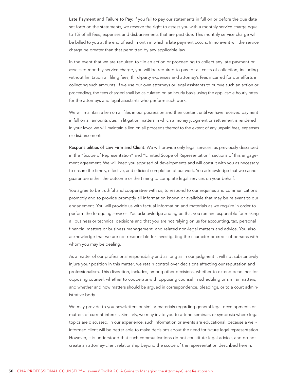Late Payment and Failure to Pay: If you fail to pay our statements in full on or before the due date set forth on the statements, we reserve the right to assess you with a monthly service charge equal to 1% of all fees, expenses and disbursements that are past due. This monthly service charge will be billed to you at the end of each month in which a late payment occurs. In no event will the service charge be greater than that permitted by any applicable law.

In the event that we are required to file an action or proceeding to collect any late payment or assessed monthly service charge, you will be required to pay for all costs of collection, including without limitation all filing fees, third-party expenses and attorney's fees incurred for our efforts in collecting such amounts. If we use our own attorneys or legal assistants to pursue such an action or proceeding, the fees charged shall be calculated on an hourly basis using the applicable hourly rates for the attorneys and legal assistants who perform such work.

We will maintain a lien on all files in our possession and their content until we have received payment in full on all amounts due. In litigation matters in which a money judgment or settlement is rendered in your favor, we will maintain a lien on all proceeds thereof to the extent of any unpaid fees, expenses or disbursements.

Responsibilities of Law Firm and Client: We will provide only legal services, as previously described in the "Scope of Representation" and "Limited Scope of Representation" sections of this engagement agreement. We will keep you apprised of developments and will consult with you as necessary to ensure the timely, effective, and efficient completion of our work. You acknowledge that we cannot guarantee either the outcome or the timing to complete legal services on your behalf.

You agree to be truthful and cooperative with us, to respond to our inquiries and communications promptly and to provide promptly all information known or available that may be relevant to our engagement. You will provide us with factual information and materials as we require in order to perform the foregoing services. You acknowledge and agree that you remain responsible for making all business or technical decisions and that you are not relying on us for accounting, tax, personal financial matters or business management, and related non-legal matters and advice. You also acknowledge that we are not responsible for investigating the character or credit of persons with whom you may be dealing.

As a matter of our professional responsibility and as long as in our judgment it will not substantively injure your position in this matter, we retain control over decisions affecting our reputation and professionalism. This discretion, includes, among other decisions, whether to extend deadlines for opposing counsel; whether to cooperate with opposing counsel in scheduling or similar matters; and whether and how matters should be argued in correspondence, pleadings, or to a court administrative body.

We may provide to you newsletters or similar materials regarding general legal developments or matters of current interest. Similarly, we may invite you to attend seminars or symposia where legal topics are discussed. In our experience, such information or events are educational, because a wellinformed client will be better able to make decisions about the need for future legal representation. However, it is understood that such communications do not constitute legal advice, and do not create an attorney-client relationship beyond the scope of the representation described herein.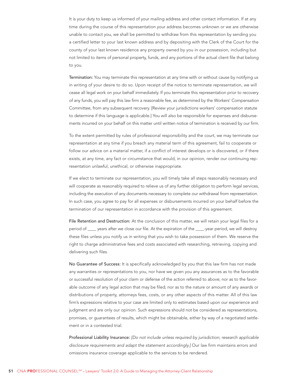It is your duty to keep us informed of your mailing address and other contact information. If at any time during the course of this representation your address becomes unknown or we are otherwise unable to contact you, we shall be permitted to withdraw from this representation by sending you a certified letter to your last known address and by depositing with the Clerk of the Court for the county of your last known residence any property owned by you in our possession, including but not limited to items of personal property, funds, and any portions of the actual client file that belong to you.

Termination: You may terminate this representation at any time with or without cause by notifying us in writing of your desire to do so. Upon receipt of the notice to terminate representation, we will cease all legal work on your behalf immediately. If you terminate this representation prior to recovery of any funds, you will pay this law firm a reasonable fee, as determined by the Workers' Compensation Committee, from any subsequent recovery. [Review your jurisdictions workers' compensation statute to determine if this language is applicable.] You will also be responsible for expenses and disbursements incurred on your behalf on this matter until written notice of termination is received by our firm.

To the extent permitted by rules of professional responsibility and the court, we may terminate our representation at any time if you breach any material term of this agreement, fail to cooperate or follow our advice on a material matter, if a conflict of interest develops or is discovered, or if there exists, at any time, any fact or circumstance that would, in our opinion, render our continuing representation unlawful, unethical, or otherwise inappropriate.

If we elect to terminate our representation, you will timely take all steps reasonably necessary and will cooperate as reasonably required to relieve us of any further obligation to perform legal services, including the execution of any documents necessary to complete our withdrawal from representation. In such case, you agree to pay for all expenses or disbursements incurred on your behalf before the termination of our representation in accordance with the provision of this agreement.

File Retention and Destruction: At the conclusion of this matter, we will retain your legal files for a period of \_\_\_\_ years after we close our file. At the expiration of the \_\_\_\_-year period, we will destroy these files unless you notify us in writing that you wish to take possession of them. We reserve the right to charge administrative fees and costs associated with researching, retrieving, copying and delivering such files.

No Guarantee of Success: It is specifically acknowledged by you that this law firm has not made any warranties or representations to you, nor have we given you any assurances as to the favorable or successful resolution of your claim or defense of the action referred to above; nor as to the favorable outcome of any legal action that may be filed; nor as to the nature or amount of any awards or distributions of property, attorneys fees, costs, or any other aspects of this matter. All of this law firm's expressions relative to your case are limited only to estimates based upon our experience and judgment and are only our opinion. Such expressions should not be considered as representations, promises, or guarantees of results, which might be obtainable, either by way of a negotiated settlement or in a contested trial.

Professional Liability Insurance: [Do not include unless required by jurisdiction; research applicable disclosure requirements and adapt the statement accordingly.] Our law firm maintains errors and omissions insurance coverage applicable to the services to be rendered.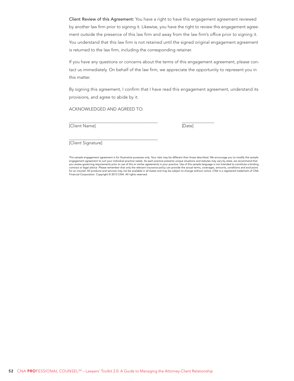Client Review of this Agreement: You have a right to have this engagement agreement reviewed by another law firm prior to signing it. Likewise, you have the right to review this engagement agreement outside the presence of this law firm and away from the law firm's office prior to signing it. You understand that this law firm is not retained until the signed original engagement agreement is returned to the law firm, including the corresponding retainer.

If you have any questions or concerns about the terms of this engagement agreement, please contact us immediately. On behalf of the law firm, we appreciate the opportunity to represent you in this matter.

By signing this agreement, I confirm that I have read this engagement agreement, understand its provisions, and agree to abide by it.

ACKNOWLEDGED AND AGREED TO:

[Client Name] [Date]

 $\overline{a}$ 

 $\overline{\phantom{a}}$ 

[Client Signature]

This sample engagement agreement is for illustrative purposes only. Your risks may be different than those described. We encourage you to modify the sample engagement agreement to suit your individual practice needs. As each practice presents unique situations and statutes may vary by state, we recommend that you review governing requirements prior to use of this or similar agreements in your practice. Use of this sample language is not intended to constitute a binding<br>contract or legal advice. Please remember that only the rel for an insured. All products and services may not be available in all states and may be subject to change without notice. CNA is a registered trademark of CNA<br>Financial Corporation. Copyright © 2013 CNA. All rights reserve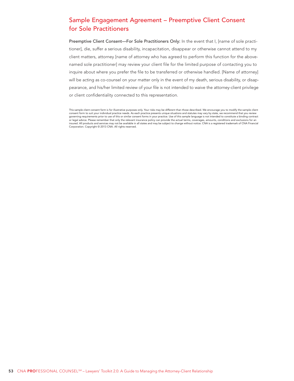# <span id="page-52-0"></span>Sample Engagement Agreement – Preemptive Client Consent for Sole Practitioners

Preemptive Client Consent—For Sole Practitioners Only: In the event that I, [name of sole practitioner], die, suffer a serious disability, incapacitation, disappear or otherwise cannot attend to my client matters, attorney [name of attorney who has agreed to perform this function for the abovenamed sole practitioner] may review your client file for the limited purpose of contacting you to inquire about where you prefer the file to be transferred or otherwise handled. [Name of attorney] will be acting as co-counsel on your matter only in the event of my death, serious disability, or disappearance, and his/her limited review of your file is not intended to waive the attorney-client privilege or client confidentiality connected to this representation.

This sample client consent form is for illustrative purposes only. Your risks may be different than those described. We encourage you to modify the sample client consent form to suit your individual practice needs. As each practice presents unique situations and statutes may vary by state, we recommend that you review governing requirements prior to use of this or similar consent forms in your practice. Use of this sample language is not intended to constitute a binding contract or legal advice. Please remember that only the relevant insurance policy can provide the actual terms, coverages, amounts, conditions and exclusions for an insured. All products and services may not be available in all states and may be subject to change without notice. CNA is a registered trademark of CNA Financial Corporation. Copyright © 2013 CNA. All rights reserved.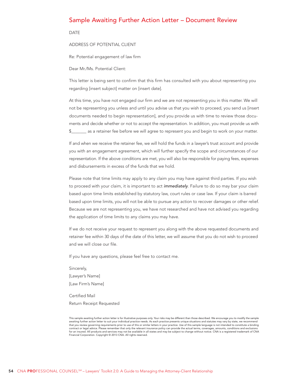#### <span id="page-53-0"></span>Sample Awaiting Further Action Letter – Document Review

DATE

ADDRESS OF POTENTIAL CLIENT

Re: Potential engagement of law firm

Dear Mr./Ms. Potential Client:

This letter is being sent to confirm that this firm has consulted with you about representing you regarding [insert subject] matter on [insert date].

At this time, you have not engaged our firm and we are not representing you in this matter. We will not be representing you unless and until you advise us that you wish to proceed, you send us [insert documents needed to begin representation], and you provide us with time to review those documents and decide whether or not to accept the representation. In addition, you must provide us with \$\_\_\_\_\_\_\_ as a retainer fee before we will agree to represent you and begin to work on your matter.

If and when we receive the retainer fee, we will hold the funds in a lawyer's trust account and provide you with an engagement agreement, which will further specify the scope and circumstances of our representation. If the above conditions are met, you will also be responsible for paying fees, expenses and disbursements in excess of the funds that we hold.

Please note that time limits may apply to any claim you may have against third parties. If you wish to proceed with your claim, it is important to act immediately. Failure to do so may bar your claim based upon time limits established by statutory law, court rules or case law. If your claim is barred based upon time limits, you will not be able to pursue any action to recover damages or other relief. Because we are not representing you, we have not researched and have not advised you regarding the application of time limits to any claims you may have.

If we do not receive your request to represent you along with the above requested documents and retainer fee within 30 days of the date of this letter, we will assume that you do not wish to proceed and we will close our file.

If you have any questions, please feel free to contact me.

Sincerely, [Lawyer's Name] [Law Firm's Name]

Certified Mail Return Receipt Requested

This sample awaiting further action letter is for illustrative purposes only. Your risks may be different than those described. We encourage you to modify the sample<br>awaiting further action letter to suit your individual p that you review governing requirements prior to use of this or similar letters in your practice. Use of this sample language is not intended to constitute a binding contract or legal advice. Please remember that only the relevant insurance policy can provide the actual terms, coverages, amounts, conditions and exclusions<br>for an insured. All products and services may not be available i Financial Corporation. Copyright © 2013 CNA. All rights reserved.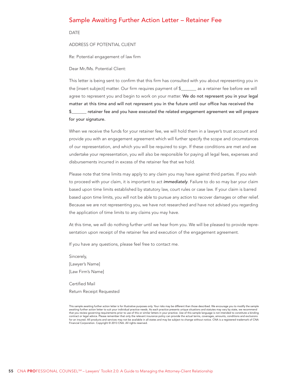#### <span id="page-54-0"></span>Sample Awaiting Further Action Letter – Retainer Fee

DATE

ADDRESS OF POTENTIAL CLIENT

Re: Potential engagement of law firm

Dear Mr./Ms. Potential Client:

This letter is being sent to confirm that this firm has consulted with you about representing you in the [insert subject] matter. Our firm requires payment of \$\_\_\_\_\_\_\_ as a retainer fee before we will agree to represent you and begin to work on your matter. We do not represent you in your legal matter at this time and will not represent you in the future until our office has received the retainer fee and you have executed the related engagement agreement we will prepare for your signature.

When we receive the funds for your retainer fee, we will hold them in a lawyer's trust account and provide you with an engagement agreement which will further specify the scope and circumstances of our representation, and which you will be required to sign. If these conditions are met and we undertake your representation, you will also be responsible for paying all legal fees, expenses and disbursements incurred in excess of the retainer fee that we hold.

Please note that time limits may apply to any claim you may have against third parties. If you wish to proceed with your claim, it is important to act *immediately*. Failure to do so may bar your claim based upon time limits established by statutory law, court rules or case law. If your claim is barred based upon time limits, you will not be able to pursue any action to recover damages or other relief. Because we are not representing you, we have not researched and have not advised you regarding the application of time limits to any claims you may have.

At this time, we will do nothing further until we hear from you. We will be pleased to provide representation upon receipt of the retainer fee and execution of the engagement agreement.

If you have any questions, please feel free to contact me.

Sincerely, [Lawyer's Name] [Law Firm's Name]

Certified Mail Return Receipt Requested

This sample awaiting further action letter is for illustrative purposes only. Your risks may be different than those described. We encourage you to modify the sample awaiting further action letter to suit your individual practice needs. As each practice presents unique situations and statutes may vary by state, we recommend that you review governing requirements prior to use of this or similar letters in your practice. Use of this sample language is not intended to constitute a binding<br>contract or legal advice. Please remember that only the r for an insured. All products and services may not be available in all states and may be subject to change without notice. CNA is a registered trademark of CNA<br>Financial Corporation. Copyright © 2013 CNA. All rights reserve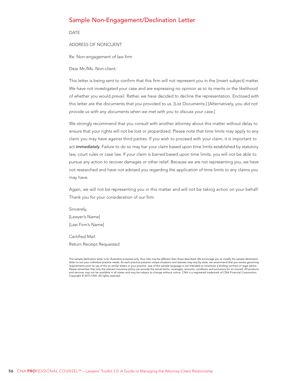### <span id="page-55-0"></span>Sample Non-Engagement/Declination Letter

DATE

ADDRESS OF NONCLIENT

Re: Non-engagement of law firm

#### Dear Mr./Ms. Non-client:

This letter is being sent to confirm that this firm will not represent you in the [insert subject] matter. We have not investigated your case and are expressing no opinion as to its merits or the likelihood of whether you would prevail. Rather, we have decided to decline the representation. Enclosed with this letter are the documents that you provided to us. [List Documents.] [Alternatively, you did not provide us with any documents when we met with you to discuss your case.]

We strongly recommend that you consult with another attorney about this matter without delay to ensure that your rights will not be lost or jeopardized. Please note that time limits may apply to any claim you may have against third parties. If you wish to proceed with your claim, it is important to act immediately. Failure to do so may bar your claim based upon time limits established by statutory law, court rules or case law. If your claim is barred based upon time limits, you will not be able to pursue any action to recover damages or other relief. Because we are not representing you, we have not researched and have not advised you regarding the application of time limits to any claims you may have.

Again, we will not be representing you in this matter and will not be taking action on your behalf. Thank you for your consideration of our firm.

Sincerely, [Lawyer's Name] [Law Firm's Name]

Certified Mail Return Receipt Requested

This sample declination letter is for illustrative purposes only. Your risks may be different than those described. We encourage you to modify the sample declination letter to suit your individual practice needs. As each practice presents unique situations and statutes may vary by state, we recommend that you review governing<br>requirements prior to use of this or similar letters in your Please remember that only the relevant insurance policy can provide the actual terms, coverages, amounts, conditions and exclusions for an insured. All products and services may not be available in all states and may be subject to change without notice. CNA is a registered trademark of CNA Financial Corporation. Copyright © 2013 CNA. All rights reserved.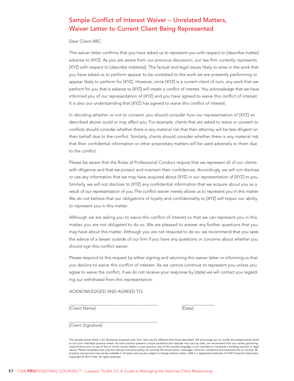# <span id="page-56-0"></span>Sample Conflict of Interest Waiver – Unrelated Matters, Waiver Letter to Current Client Being Represented

Dear Client ABC:

This waiver letter confirms that you have asked us to represent you with respect to [describe matter] adverse to [XYZ]. As you are aware from our previous discussion, our law firm currently represents [XYZ] with respect to [describe matter(s)]. The factual and legal issues likely to arise in the work that you have asked us to perform appear to be unrelated to the work we are presently performing or appear likely to perform for [XYZ]. However, since [XYZ] is a current client of ours, any work that we perform for you that is adverse to [XYZ] will create a conflict of interest. You acknowledge that we have informed you of our representation of [XYZ] and you have agreed to waive this conflict of interest. It is also our understanding that [XYZ] has agreed to waive this conflict of interest.

In deciding whether or not to consent, you should consider how our representation of [XYZ] as described above could or may affect you. For example, clients that are asked to waive or consent to conflicts should consider whether there is any material risk that their attorney will be less diligent on their behalf due to the conflict. Similarly, clients should consider whether there is any material risk that their confidential information or other proprietary matters will be used adversely to them due to the conflict.

Please be aware that the Rules of Professional Conduct require that we represent all of our clients with diligence and that we protect and maintain their confidences. Accordingly, we will not disclose or use any information that we may have acquired about [XYZ] in our representation of [XYZ] to you. Similarly, we will not disclose to [XYZ] any confidential information that we acquire about you as a result of our representation of you. The conflict waiver merely allows us to represent you in this matter. We do not believe that our obligations of loyalty and confidentiality to [XYZ] will impair our ability to represent you in this matter.

Although we are asking you to waive this conflict of interest so that we can represent you in this matter, you are not obligated to do so. We are pleased to answer any further questions that you may have about this matter. Although you are not required to do so, we recommend that you seek the advice of a lawyer outside of our firm if you have any questions or concerns about whether you should sign this conflict waiver.

Please respond to this request by either signing and returning this waiver letter or informing us that you decline to waive this conflict of interest. As we cannot continue to represent you unless you agree to waive the conflict, if we do not receive your response by [date] we will contact you regarding our withdrawal from this representation.

ACKNOWLEDGED AND AGREED TO:

[Client Name] [Date]

 $\overline{a}$ 

 $\overline{\phantom{a}}$ 

[Client Signature]

This sample waiver letter is for illustrative purposes only. Your risks may be different than those described. We encourage you to modify the sample waiver letter to suit your individual practice needs. As each practice presents unique situations and statutes may vary by state, we recommend that you review governing<br>requirements prior to use of this or similar waiver letters in your advice. Please remember that only the relevant insurance policy can provide the actual terms, coverages, amounts, conditions and exclusions for an insured. All<br>products and services may not be available in all states and m Copyright © 2013 CNA. All rights reserved.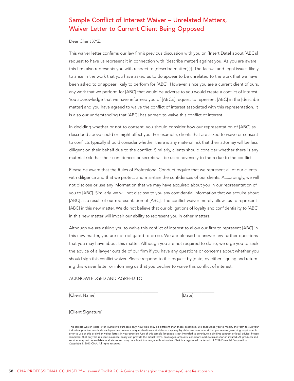# <span id="page-57-0"></span>Sample Conflict of Interest Waiver – Unrelated Matters, Waiver Letter to Current Client Being Opposed

Dear Client XYZ:

This waiver letter confirms our law firm's previous discussion with you on [Insert Date] about [ABC's] request to have us represent it in connection with [describe matter] against you. As you are aware, this firm also represents you with respect to [describe matter(s)]. The factual and legal issues likely to arise in the work that you have asked us to do appear to be unrelated to the work that we have been asked to or appear likely to perform for [ABC]. However, since you are a current client of ours, any work that we perform for [ABC] that would be adverse to you would create a conflict of interest. You acknowledge that we have informed you of [ABC's] request to represent [ABC] in the [describe matter] and you have agreed to waive the conflict of interest associated with this representation. It is also our understanding that [ABC] has agreed to waive this conflict of interest.

In deciding whether or not to consent, you should consider how our representation of [ABC] as described above could or might affect you. For example, clients that are asked to waive or consent to conflicts typically should consider whether there is any material risk that their attorney will be less diligent on their behalf due to the conflict. Similarly, clients should consider whether there is any material risk that their confidences or secrets will be used adversely to them due to the conflict.

Please be aware that the Rules of Professional Conduct require that we represent all of our clients with diligence and that we protect and maintain the confidences of our clients. Accordingly, we will not disclose or use any information that we may have acquired about you in our representation of you to [ABC]. Similarly, we will not disclose to you any confidential information that we acquire about [ABC] as a result of our representation of [ABC]. The conflict waiver merely allows us to represent [ABC] in this new matter. We do not believe that our obligations of loyalty and confidentiality to [ABC] in this new matter will impair our ability to represent you in other matters.

Although we are asking you to waive this conflict of interest to allow our firm to represent [ABC] in this new matter, you are not obligated to do so. We are pleased to answer any further questions that you may have about this matter. Although you are not required to do so, we urge you to seek the advice of a lawyer outside of our firm if you have any questions or concerns about whether you should sign this conflict waiver. Please respond to this request by [date] by either signing and returning this waiver letter or informing us that you decline to waive this conflict of interest.

ACKNOWLEDGED AND AGREED TO:

[Client Name] [Date]

 $\overline{a}$ 

 $\overline{\phantom{a}}$ 

[Client Signature]

This sample waiver letter is for illustrative purposes only. Your risks may be different than those described. We encourage you to modify the form to suit your individual practice needs. As each practice presents unique situations and statutes may vary by state, we recommend that you review governing requirements prior to use of this or similar waiver letters in your practice. Use of this sample language is not intended to constitute a binding contract or legal advice. Please remember that only the relevant insurance policy can provide the actual terms, coverages, amounts, conditions and exclusions for an insured. All products and<br>services may not be available in all states and may be subject t Copyright © 2013 CNA. All rights reserved.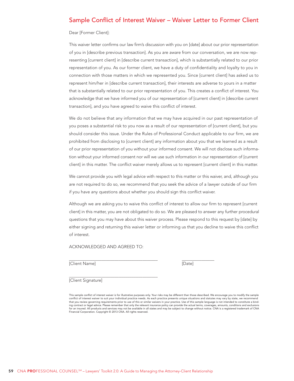# <span id="page-58-0"></span>Sample Conflict of Interest Waiver – Waiver Letter to Former Client

Dear [Former Client]:

This waiver letter confirms our law firm's discussion with you on [date] about our prior representation of you in [describe previous transaction]. As you are aware from our conversation, we are now representing [current client] in [describe current transaction], which is substantially related to our prior representation of you. As our former client, we have a duty of confidentiality and loyalty to you in connection with those matters in which we represented you. Since [current client] has asked us to represent him/her in [describe current transaction], their interests are adverse to yours in a matter that is substantially related to our prior representation of you. This creates a conflict of interest. You acknowledge that we have informed you of our representation of [current client] in [describe current transaction], and you have agreed to waive this conflict of interest.

We do not believe that any information that we may have acquired in our past representation of you poses a substantial risk to you now as a result of our representation of [current client], but you should consider this issue. Under the Rules of Professional Conduct applicable to our firm, we are prohibited from disclosing to [current client] any information about you that we learned as a result of our prior representation of you without your informed consent. We will not disclose such information without your informed consent nor will we use such information in our representation of [current client] in this matter. The conflict waiver merely allows us to represent [current client] in this matter.

We cannot provide you with legal advice with respect to this matter or this waiver, and, although you are not required to do so, we recommend that you seek the advice of a lawyer outside of our firm if you have any questions about whether you should sign this conflict waiver.

Although we are asking you to waive this conflict of interest to allow our firm to represent [current client] in this matter, you are not obligated to do so. We are pleased to answer any further procedural questions that you may have about this waiver process. Please respond to this request by [date] by either signing and returning this waiver letter or informing us that you decline to waive this conflict of interest.

ACKNOWLEDGED AND AGREED TO:

[Client Name] [Date]

 $\overline{a}$ 

 $\overline{\phantom{a}}$ [Client Signature]

This sample conflict of interest waiver is for illustrative purposes only. Your risks may be different than those described. We encourage you to modify the sample<br>conflict of interest waiver to suit your individual practic that you review governing requirements prior to use of this or similar waivers in your practice. Use of this sample language is not intended to constitute a binding contract or legal advice. Please remember that only the relevant insurance policy can provide the actual terms, coverages, amounts, conditions and exclusions<br>for an insured. All products and services may not be availab Financial Corporation. Copyright © 2013 CNA. All rights reserved.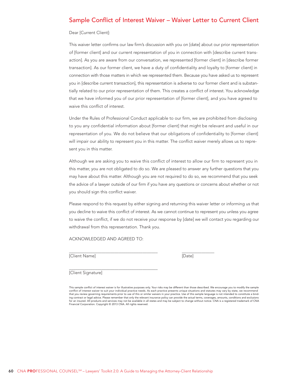# <span id="page-59-0"></span>Sample Conflict of Interest Waiver – Waiver Letter to Current Client

Dear [Current Client]:

This waiver letter confirms our law firm's discussion with you on [date] about our prior representation of [former client] and our current representation of you in connection with [describe current transaction]. As you are aware from our conversation, we represented [former client] in [describe former transaction]. As our former client, we have a duty of confidentiality and loyalty to [former client] in connection with those matters in which we represented them. Because you have asked us to represent you in [describe current transaction], this representation is adverse to our former client and is substantially related to our prior representation of them. This creates a conflict of interest. You acknowledge that we have informed you of our prior representation of [former client], and you have agreed to waive this conflict of interest.

Under the Rules of Professional Conduct applicable to our firm, we are prohibited from disclosing to you any confidential information about [former client] that might be relevant and useful in our representation of you. We do not believe that our obligations of confidentiality to [former client] will impair our ability to represent you in this matter. The conflict waiver merely allows us to represent you in this matter.

Although we are asking you to waive this conflict of interest to allow our firm to represent you in this matter, you are not obligated to do so. We are pleased to answer any further questions that you may have about this matter. Although you are not required to do so, we recommend that you seek the advice of a lawyer outside of our firm if you have any questions or concerns about whether or not you should sign this conflict waiver.

Please respond to this request by either signing and returning this waiver letter or informing us that you decline to waive this conflict of interest. As we cannot continue to represent you unless you agree to waive the conflict, if we do not receive your response by [date] we will contact you regarding our withdrawal from this representation. Thank you.

ACKNOWLEDGED AND AGREED TO:

 $\overline{a}$ [Client Name] [Date]

 $\overline{\phantom{a}}$ 

[Client Signature]

This sample conflict of interest waiver is for illustrative purposes only. Your risks may be different than those described. We encourage you to modify the sample conflict of interest waiver to suit your individual practice needs. As each practice presents unique situations and statutes may vary by state, we recommend that you review governing requirements prior to use of this or similar waivers in your practice. Use of this sample language is not intended to constitute a binding contract or legal advice. Please remember that only the relevant insurance policy can provide the actual terms, coverages, amounts, conditions and exclusions for an insured. All products and services may not be available in all states and may be subject to change without notice. CNA is a registered trademark of CNA Financial Corporation. Copyright © 2013 CNA. All rights reserved.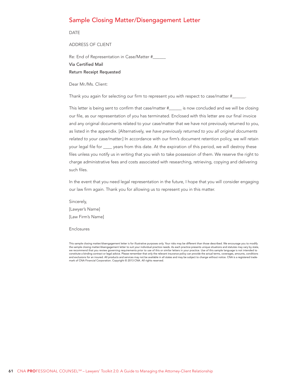# <span id="page-60-0"></span>Sample Closing Matter/Disengagement Letter

DATE

ADDRESS OF CLIENT

Re: End of Representation in Case/Matter #\_\_\_\_\_\_

Via Certified Mail

Return Receipt Requested

Dear Mr./Ms. Client:

Thank you again for selecting our firm to represent you with respect to case/matter #\_\_

This letter is being sent to confirm that case/matter #\_\_\_\_\_\_ is now concluded and we will be closing our file, as our representation of you has terminated. Enclosed with this letter are our final invoice and any original documents related to your case/matter that we have not previously returned to you, as listed in the appendix. [Alternatively, we have previously returned to you all original documents related to your case/matter.] In accordance with our firm's document retention policy, we will retain your legal file for \_\_\_\_ years from this date. At the expiration of this period, we will destroy these files unless you notify us in writing that you wish to take possession of them. We reserve the right to charge administrative fees and costs associated with researching, retrieving, copying and delivering such files.

In the event that you need legal representation in the future, I hope that you will consider engaging our law firm again. Thank you for allowing us to represent you in this matter.

Sincerely, [Lawyer's Name] [Law Firm's Name]

Enclosures

This sample closing matter/disengagement letter is for illustrative purposes only. Your risks may be different than those described. We encourage you to modify the sample closing matter/disengagement letter to suit your individual practice needs. As each practice presents unique situations and statutes may vary by state,<br>we recommend that you review governing requirements prior t constitute a binding contract or legal advice. Please remember that only the relevant insurance policy can provide the actual terms, coverages, amounts, conditions and exclusions for an insured. All products and services may not be available in all states and may be subject to change without notice. CNA is a registered trademark of CNA Financial Corporation. Copyright © 2013 CNA. All rights reserved.